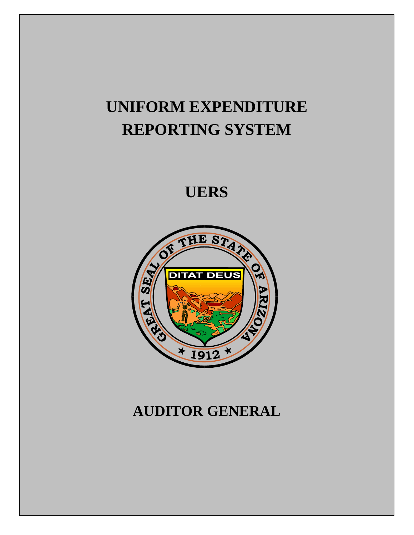# **UNIFORM EXPENDITURE REPORTING SYSTEM**

**UERS** 



# **AUDITOR GENERAL**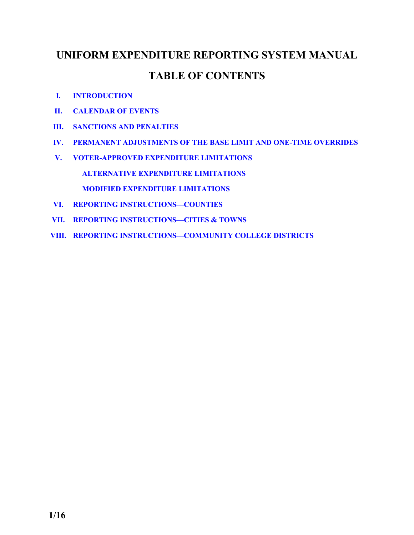# **UNIFORM EXPENDITURE REPORTING SYSTEM MANUAL TABLE OF CONTENTS**

- **I. [INTRODUCTION](#page-2-0)**
- **II. [CALENDAR OF EVENTS](#page-3-0)**
- **III. [SANCTIONS AND PENALTIES](#page-4-0)**
- **IV. [PERMANENT ADJUSTMENTS OF THE BASE LIMIT AND ONE-TIME OVERRIDES](#page-6-0)**
- **V. [VOTER-APPROVED EXPENDITURE LIMITATIONS](#page-10-0)  [ALTERNATIVE EXPENDITURE LIMITATIONS](#page-10-0)  [MODIFIED EXPENDITURE LIMITATIONS](#page-12-0)**
- **VI. [REPORTING INSTRUCTIONS—COUNTIES](#page-14-0)**
- **VII. [REPORTING INSTRUCTIONS—CITIES & TOWNS](#page-34-0)**
- **VIII. [REPORTING INSTRUCTIONS—COMMUNITY COLLEGE DISTRICTS](#page-52-0)**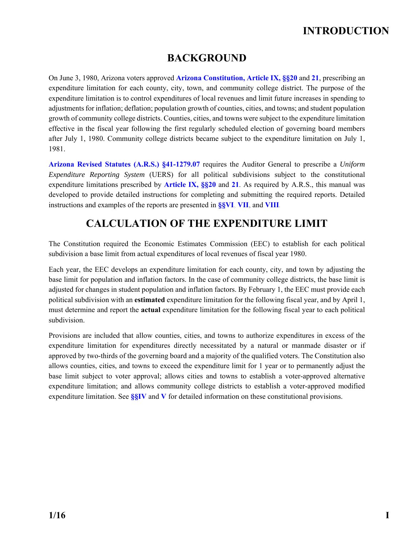## **INTRODUCTION**

### **BACKGROUND**

<span id="page-2-0"></span>On June 3, 1980, Arizona voters approved **[Arizona Constitution, Article IX, §§20](http://www.azleg.gov/FormatDocument.asp?inDoc=/const/9/20.htm)** and **[21](http://www.azleg.gov/FormatDocument.asp?inDoc=/const/9/21.htm)**, prescribing an expenditure limitation for each county, city, town, and community college district. The purpose of the expenditure limitation is to control expenditures of local revenues and limit future increases in spending to adjustments for inflation; deflation; population growth of counties, cities, and towns; and student population growth of community college districts. Counties, cities, and towns were subject to the expenditure limitation effective in the fiscal year following the first regularly scheduled election of governing board members after July 1, 1980. Community college districts became subject to the expenditure limitation on July 1, 1981.

**[Arizona Revised Statutes \(A.R.S.\) §41-1279.07](http://www.azleg.gov/FormatDocument.asp?inDoc=/ars/41/01279-07.htm&Title=41&DocType=ARS)** requires the Auditor General to prescribe a *Uniform Expenditure Reporting System* (UERS) for all political subdivisions subject to the constitutional expenditure limitations prescribed by **[Article IX, §§20](http://www.azleg.gov/FormatDocument.asp?inDoc=/const/9/20.htm)** and **[21](http://www.azleg.gov/FormatDocument.asp?inDoc=/const/9/21.htm)**. As required by A.R.S., this manual was developed to provide detailed instructions for completing and submitting the required reports. Detailed instructions and examples of the reports are presented in **[§§VI](#page-14-0)**, **[VII](#page-34-0)**, and **[VIII](#page-52-0)**.

### **CALCULATION OF THE EXPENDITURE LIMIT**

The Constitution required the Economic Estimates Commission (EEC) to establish for each political subdivision a base limit from actual expenditures of local revenues of fiscal year 1980.

Each year, the EEC develops an expenditure limitation for each county, city, and town by adjusting the base limit for population and inflation factors. In the case of community college districts, the base limit is adjusted for changes in student population and inflation factors. By February 1, the EEC must provide each political subdivision with an **estimated** expenditure limitation for the following fiscal year, and by April 1, must determine and report the **actual** expenditure limitation for the following fiscal year to each political subdivision.

Provisions are included that allow counties, cities, and towns to authorize expenditures in excess of the expenditure limitation for expenditures directly necessitated by a natural or manmade disaster or if approved by two-thirds of the governing board and a majority of the qualified voters. The Constitution also allows counties, cities, and towns to exceed the expenditure limit for 1 year or to permanently adjust the base limit subject to voter approval; allows cities and towns to establish a voter-approved alternative expenditure limitation; and allows community college districts to establish a voter-approved modified expenditure limitation. See **[§§IV](#page-6-0)** and **[V](#page-10-0)** for detailed information on these constitutional provisions.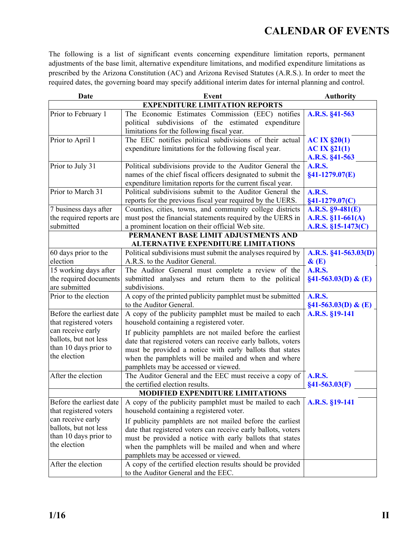## **CALENDAR OF EVENTS**

<span id="page-3-0"></span>The following is a list of significant events concerning expenditure limitation reports, permanent adjustments of the base limit, alternative expenditure limitations, and modified expenditure limitations as prescribed by the Arizona Constitution (AC) and Arizona Revised Statutes (A.R.S.). In order to meet the required dates, the governing board may specify additional interim dates for internal planning and control.

| Date                                    | <b>Event</b>                                                  | <b>Authority</b>          |  |  |  |  |
|-----------------------------------------|---------------------------------------------------------------|---------------------------|--|--|--|--|
| <b>EXPENDITURE LIMITATION REPORTS</b>   |                                                               |                           |  |  |  |  |
| Prior to February 1                     | The Economic Estimates Commission (EEC) notifies              | A.R.S. §41-563            |  |  |  |  |
|                                         | political subdivisions of the estimated expenditure           |                           |  |  |  |  |
|                                         | limitations for the following fiscal year.                    |                           |  |  |  |  |
| Prior to April 1                        | The EEC notifies political subdivisions of their actual       | AC IX §20(1)              |  |  |  |  |
|                                         | expenditure limitations for the following fiscal year.        | AC IX §21(1)              |  |  |  |  |
|                                         |                                                               | A.R.S. §41-563            |  |  |  |  |
| Prior to July 31                        | Political subdivisions provide to the Auditor General the     | <b>A.R.S.</b>             |  |  |  |  |
|                                         | names of the chief fiscal officers designated to submit the   | $§41-1279.07(E)$          |  |  |  |  |
|                                         | expenditure limitation reports for the current fiscal year.   |                           |  |  |  |  |
| Prior to March 31                       | Political subdivisions submit to the Auditor General the      | <b>A.R.S.</b>             |  |  |  |  |
|                                         | reports for the previous fiscal year required by the UERS.    | $§41-1279.07(C)$          |  |  |  |  |
| 7 business days after                   | Counties, cities, towns, and community college districts      | $A.R.S. §9-481(E)$        |  |  |  |  |
| the required reports are                | must post the financial statements required by the UERS in    | A.R.S. $$11-661(A)$       |  |  |  |  |
| submitted                               | a prominent location on their official Web site.              | $A.R.S. §15-1473(C)$      |  |  |  |  |
|                                         | PERMANENT BASE LIMIT ADJUSTMENTS AND                          |                           |  |  |  |  |
|                                         | <b>ALTERNATIVE EXPENDITURE LIMITATIONS</b>                    |                           |  |  |  |  |
| 60 days prior to the                    | Political subdivisions must submit the analyses required by   | A.R.S. §41-563.03(D)      |  |  |  |  |
| election                                | A.R.S. to the Auditor General.                                | $\&(E)$                   |  |  |  |  |
| 15 working days after                   | The Auditor General must complete a review of the             | <b>A.R.S.</b>             |  |  |  |  |
| the required documents                  | submitted analyses and return them to the political           | $\S41 - 563.03(D) \& (E)$ |  |  |  |  |
| are submitted                           | subdivisions.                                                 |                           |  |  |  |  |
| Prior to the election                   | A copy of the printed publicity pamphlet must be submitted    | <b>A.R.S.</b>             |  |  |  |  |
|                                         | to the Auditor General.                                       | $§41-563.03(D) \& (E)$    |  |  |  |  |
| Before the earliest date                | A copy of the publicity pamphlet must be mailed to each       | A.R.S. §19-141            |  |  |  |  |
| that registered voters                  | household containing a registered voter.                      |                           |  |  |  |  |
| can receive early                       | If publicity pamphlets are not mailed before the earliest     |                           |  |  |  |  |
| ballots, but not less                   | date that registered voters can receive early ballots, voters |                           |  |  |  |  |
| than 10 days prior to                   | must be provided a notice with early ballots that states      |                           |  |  |  |  |
| the election                            | when the pamphlets will be mailed and when and where          |                           |  |  |  |  |
|                                         | pamphlets may be accessed or viewed.                          |                           |  |  |  |  |
| After the election                      | The Auditor General and the EEC must receive a copy of        | <b>A.R.S.</b>             |  |  |  |  |
|                                         | the certified election results.                               | $§41-563.03(F)$           |  |  |  |  |
| <b>MODIFIED EXPENDITURE LIMITATIONS</b> |                                                               |                           |  |  |  |  |
| Before the earliest date                | A copy of the publicity pamphlet must be mailed to each       | A.R.S. §19-141            |  |  |  |  |
| that registered voters                  | household containing a registered voter.                      |                           |  |  |  |  |
| can receive early                       | If publicity pamphlets are not mailed before the earliest     |                           |  |  |  |  |
| ballots, but not less                   | date that registered voters can receive early ballots, voters |                           |  |  |  |  |
| than 10 days prior to                   | must be provided a notice with early ballots that states      |                           |  |  |  |  |
| the election                            | when the pamphlets will be mailed and when and where          |                           |  |  |  |  |
|                                         | pamphlets may be accessed or viewed.                          |                           |  |  |  |  |
| After the election                      | A copy of the certified election results should be provided   |                           |  |  |  |  |
|                                         | to the Auditor General and the EEC.                           |                           |  |  |  |  |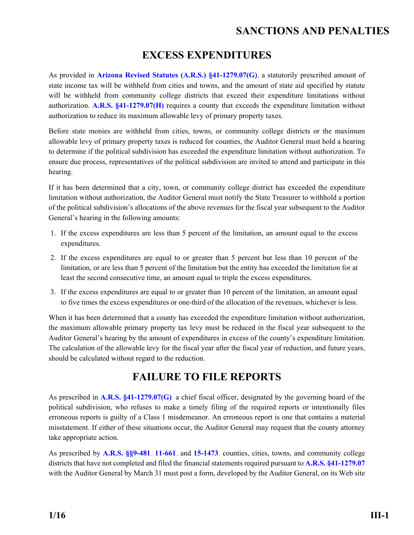### **SANCTIONS AND PENALTIES**

### **EXCESS EXPENDITURES**

<span id="page-4-0"></span>As provided in **[Arizona Revised Statutes \(A.R.S.\) §41-1279.07\(G\)](http://www.azleg.gov/FormatDocument.asp?inDoc=/ars/41/01279-07.htm&Title=41&DocType=ARS)**, a statutorily prescribed amount of state income tax will be withheld from cities and towns, and the amount of state aid specified by statute will be withheld from community college districts that exceed their expenditure limitations without authorization. **[A.R.S. §41-1279.07\(H\)](http://www.azleg.gov/FormatDocument.asp?inDoc=/ars/41/01279-07.htm&Title=41&DocType=ARS)** requires a county that exceeds the expenditure limitation without authorization to reduce its maximum allowable levy of primary property taxes.

Before state monies are withheld from cities, towns, or community college districts or the maximum allowable levy of primary property taxes is reduced for counties, the Auditor General must hold a hearing to determine if the political subdivision has exceeded the expenditure limitation without authorization. To ensure due process, representatives of the political subdivision are invited to attend and participate in this hearing.

If it has been determined that a city, town, or community college district has exceeded the expenditure limitation without authorization, the Auditor General must notify the State Treasurer to withhold a portion of the political subdivision's allocations of the above revenues for the fiscal year subsequent to the Auditor General's hearing in the following amounts:

- 1. If the excess expenditures are less than 5 percent of the limitation, an amount equal to the excess expenditures.
- 2. If the excess expenditures are equal to or greater than 5 percent but less than 10 percent of the limitation, or are less than 5 percent of the limitation but the entity has exceeded the limitation for at least the second consecutive time, an amount equal to triple the excess expenditures.
- 3. If the excess expenditures are equal to or greater than 10 percent of the limitation, an amount equal to five times the excess expenditures or one-third of the allocation of the revenues, whichever is less.

When it has been determined that a county has exceeded the expenditure limitation without authorization, the maximum allowable primary property tax levy must be reduced in the fiscal year subsequent to the Auditor General's hearing by the amount of expenditures in excess of the county's expenditure limitation. The calculation of the allowable levy for the fiscal year after the fiscal year of reduction, and future years, should be calculated without regard to the reduction.

### **FAILURE TO FILE REPORTS**

As prescribed in **[A.R.S. §41-1279.07\(G\)](http://www.azleg.gov/FormatDocument.asp?inDoc=/ars/41/01279-07.htm&Title=41&DocType=ARS)**, a chief fiscal officer, designated by the governing board of the political subdivision, who refuses to make a timely filing of the required reports or intentionally files erroneous reports is guilty of a Class 1 misdemeanor. An erroneous report is one that contains a material misstatement. If either of these situations occur, the Auditor General may request that the county attorney take appropriate action.

As prescribed by **[A.R.S. §§9-481](http://www.azleg.gov/FormatDocument.asp?inDoc=/ars/9/00481.htm&Title=9&DocType=ARS)**, **[11-661](http://www.azleg.gov/FormatDocument.asp?inDoc=/ars/11/00661.htm&Title=11&DocType=ARS)**, and **[15-1473](http://www.azleg.gov/FormatDocument.asp?inDoc=/ars/15/01473.htm&Title=15&DocType=ARS)**, counties, cities, towns, and community college districts that have not completed and filed the financial statements required pursuant to **[A.R.S. §41-1279.07](http://www.azleg.gov/FormatDocument.asp?inDoc=/ars/41/01279-07.htm&Title=41&DocType=ARS)**  with the Auditor General by March 31 must post a form, developed by the Auditor General, on its Web site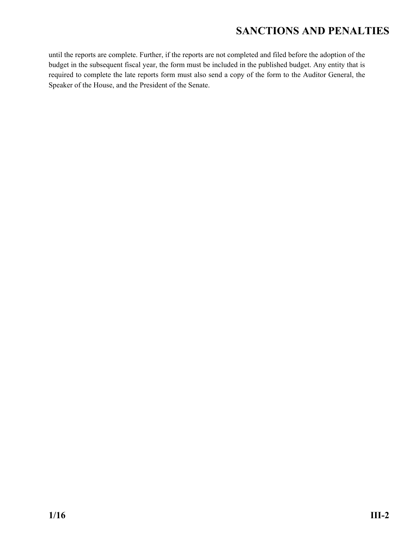## **SANCTIONS AND PENALTIES**

until the reports are complete. Further, if the reports are not completed and filed before the adoption of the budget in the subsequent fiscal year, the form must be included in the published budget. Any entity that is required to complete the late reports form must also send a copy of the form to the Auditor General, the Speaker of the House, and the President of the Senate.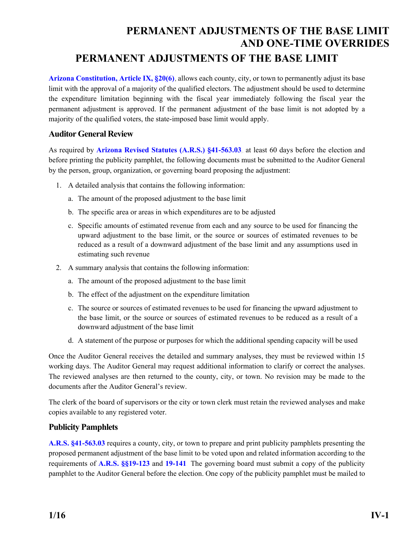## <span id="page-6-0"></span>**PERMANENT ADJUSTMENTS OF THE BASE LIMIT AND ONE-TIME OVERRIDES PERMANENT ADJUSTMENTS OF THE BASE LIMIT**

**[Arizona Constitution, Article IX, §20\(6\)](http://www.azleg.gov/FormatDocument.asp?inDoc=/const/9/20.htm)**, allows each county, city, or town to permanently adjust its base limit with the approval of a majority of the qualified electors. The adjustment should be used to determine the expenditure limitation beginning with the fiscal year immediately following the fiscal year the permanent adjustment is approved. If the permanent adjustment of the base limit is not adopted by a majority of the qualified voters, the state-imposed base limit would apply.

### **Auditor General Review**

As required by **[Arizona Revised Statutes \(A.R.S.\) §41-563.03](http://www.azleg.gov/FormatDocument.asp?inDoc=/ars/41/00563-03.htm&Title=41&DocType=ARS)**, at least 60 days before the election and before printing the publicity pamphlet, the following documents must be submitted to the Auditor General by the person, group, organization, or governing board proposing the adjustment:

- 1. A detailed analysis that contains the following information:
	- a. The amount of the proposed adjustment to the base limit
	- b. The specific area or areas in which expenditures are to be adjusted
	- c. Specific amounts of estimated revenue from each and any source to be used for financing the upward adjustment to the base limit, or the source or sources of estimated revenues to be reduced as a result of a downward adjustment of the base limit and any assumptions used in estimating such revenue
- 2. A summary analysis that contains the following information:
	- a. The amount of the proposed adjustment to the base limit
	- b. The effect of the adjustment on the expenditure limitation
	- c. The source or sources of estimated revenues to be used for financing the upward adjustment to the base limit, or the source or sources of estimated revenues to be reduced as a result of a downward adjustment of the base limit
	- d. A statement of the purpose or purposes for which the additional spending capacity will be used

Once the Auditor General receives the detailed and summary analyses, they must be reviewed within 15 working days. The Auditor General may request additional information to clarify or correct the analyses. The reviewed analyses are then returned to the county, city, or town. No revision may be made to the documents after the Auditor General's review.

The clerk of the board of supervisors or the city or town clerk must retain the reviewed analyses and make copies available to any registered voter.

### **Publicity Pamphlets**

**[A.R.S. §41-563.03](http://www.azleg.gov/FormatDocument.asp?inDoc=/ars/41/00563-03.htm&Title=41&DocType=ARS)** requires a county, city, or town to prepare and print publicity pamphlets presenting the proposed permanent adjustment of the base limit to be voted upon and related information according to the requirements of **[A.R.S. §§19-123](http://www.azleg.gov/FormatDocument.asp?inDoc=/ars/19/00123.htm&Title=19&DocType=ARS)** and **[19-141](http://www.azleg.gov/FormatDocument.asp?inDoc=/ars/19/00141.htm&Title=19&DocType=ARS)**. The governing board must submit a copy of the publicity pamphlet to the Auditor General before the election. One copy of the publicity pamphlet must be mailed to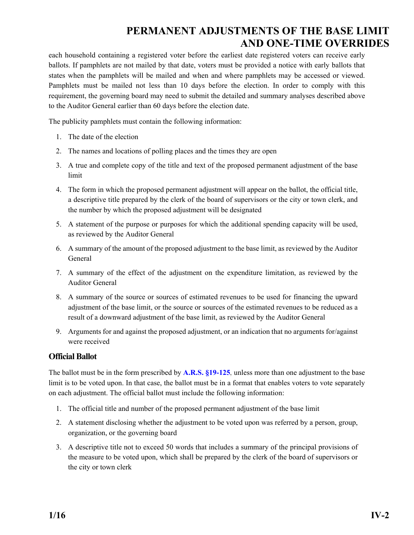### **PERMANENT ADJUSTMENTS OF THE BASE LIMIT AND ONE-TIME OVERRIDES**

each household containing a registered voter before the earliest date registered voters can receive early ballots. If pamphlets are not mailed by that date, voters must be provided a notice with early ballots that states when the pamphlets will be mailed and when and where pamphlets may be accessed or viewed. Pamphlets must be mailed not less than 10 days before the election. In order to comply with this requirement, the governing board may need to submit the detailed and summary analyses described above to the Auditor General earlier than 60 days before the election date.

The publicity pamphlets must contain the following information:

- 1. The date of the election
- 2. The names and locations of polling places and the times they are open
- 3. A true and complete copy of the title and text of the proposed permanent adjustment of the base limit
- 4. The form in which the proposed permanent adjustment will appear on the ballot, the official title, a descriptive title prepared by the clerk of the board of supervisors or the city or town clerk, and the number by which the proposed adjustment will be designated
- 5. A statement of the purpose or purposes for which the additional spending capacity will be used, as reviewed by the Auditor General
- 6. A summary of the amount of the proposed adjustment to the base limit, as reviewed by the Auditor General
- 7. A summary of the effect of the adjustment on the expenditure limitation, as reviewed by the Auditor General
- 8. A summary of the source or sources of estimated revenues to be used for financing the upward adjustment of the base limit, or the source or sources of the estimated revenues to be reduced as a result of a downward adjustment of the base limit, as reviewed by the Auditor General
- 9. Arguments for and against the proposed adjustment, or an indication that no arguments for/against were received

### **Official Ballot**

The ballot must be in the form prescribed by **[A.R.S. §19-125](http://www.azleg.gov/FormatDocument.asp?inDoc=/ars/19/00125.htm&Title=19&DocType=ARS)**, unless more than one adjustment to the base limit is to be voted upon. In that case, the ballot must be in a format that enables voters to vote separately on each adjustment. The official ballot must include the following information:

- 1. The official title and number of the proposed permanent adjustment of the base limit
- 2. A statement disclosing whether the adjustment to be voted upon was referred by a person, group, organization, or the governing board
- 3. A descriptive title not to exceed 50 words that includes a summary of the principal provisions of the measure to be voted upon, which shall be prepared by the clerk of the board of supervisors or the city or town clerk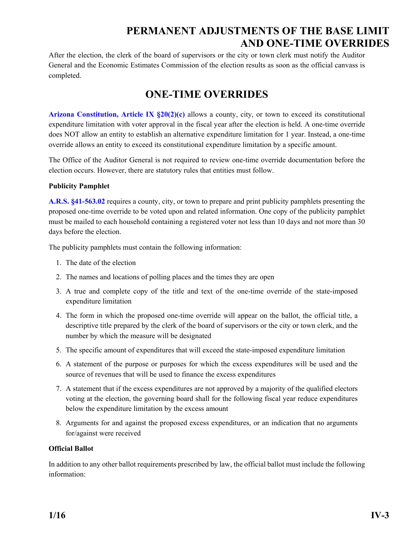### **PERMANENT ADJUSTMENTS OF THE BASE LIMIT AND ONE-TIME OVERRIDES**

After the election, the clerk of the board of supervisors or the city or town clerk must notify the Auditor General and the Economic Estimates Commission of the election results as soon as the official canvass is completed.

### **ONE-TIME OVERRIDES**

**[Arizona Constitution, Article IX §20\(2\)\(c\)](http://www.azleg.gov/FormatDocument.asp?inDoc=/const/9/20.htm)** allows a county, city, or town to exceed its constitutional expenditure limitation with voter approval in the fiscal year after the election is held. A one-time override does NOT allow an entity to establish an alternative expenditure limitation for 1 year. Instead, a one-time override allows an entity to exceed its constitutional expenditure limitation by a specific amount.

The Office of the Auditor General is not required to review one-time override documentation before the election occurs. However, there are statutory rules that entities must follow.

### **Publicity Pamphlet**

**[A.R.S. §41-563.02](http://www.azleg.gov/FormatDocument.asp?inDoc=/ars/41/00563-02.htm&Title=41&DocType=ARS)** requires a county, city, or town to prepare and print publicity pamphlets presenting the proposed one-time override to be voted upon and related information. One copy of the publicity pamphlet must be mailed to each household containing a registered voter not less than 10 days and not more than 30 days before the election.

The publicity pamphlets must contain the following information:

- 1. The date of the election
- 2. The names and locations of polling places and the times they are open
- 3. A true and complete copy of the title and text of the one-time override of the state-imposed expenditure limitation
- 4. The form in which the proposed one-time override will appear on the ballot, the official title, a descriptive title prepared by the clerk of the board of supervisors or the city or town clerk, and the number by which the measure will be designated
- 5. The specific amount of expenditures that will exceed the state-imposed expenditure limitation
- 6. A statement of the purpose or purposes for which the excess expenditures will be used and the source of revenues that will be used to finance the excess expenditures
- 7. A statement that if the excess expenditures are not approved by a majority of the qualified electors voting at the election, the governing board shall for the following fiscal year reduce expenditures below the expenditure limitation by the excess amount
- 8. Arguments for and against the proposed excess expenditures, or an indication that no arguments for/against were received

#### **Official Ballot**

In addition to any other ballot requirements prescribed by law, the official ballot must include the following information: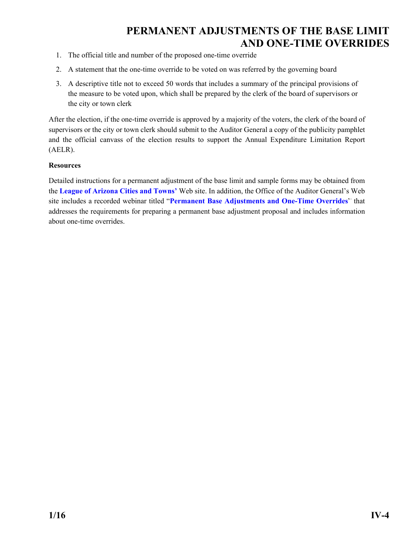### **PERMANENT ADJUSTMENTS OF THE BASE LIMIT AND ONE-TIME OVERRIDES**

- 1. The official title and number of the proposed one-time override
- 2. A statement that the one-time override to be voted on was referred by the governing board
- 3. A descriptive title not to exceed 50 words that includes a summary of the principal provisions of the measure to be voted upon, which shall be prepared by the clerk of the board of supervisors or the city or town clerk

After the election, if the one-time override is approved by a majority of the voters, the clerk of the board of supervisors or the city or town clerk should submit to the Auditor General a copy of the publicity pamphlet and the official canvass of the election results to support the Annual Expenditure Limitation Report (AELR).

#### **Resources**

Detailed instructions for a permanent adjustment of the base limit and sample forms may be obtained from the **[League of Arizona Cities and Towns'](http://www.azleague.org/index.aspx?NID=35)** Web site. In addition, the Office of the Auditor General's Web site includes a recorded webinar titled "**[Permanent Base Adjustments and One-Time Overrides](http://www.azauditor.gov/reports-publications/cities-and-towns/webinars)**" that addresses the requirements for preparing a permanent base adjustment proposal and includes information about one-time overrides.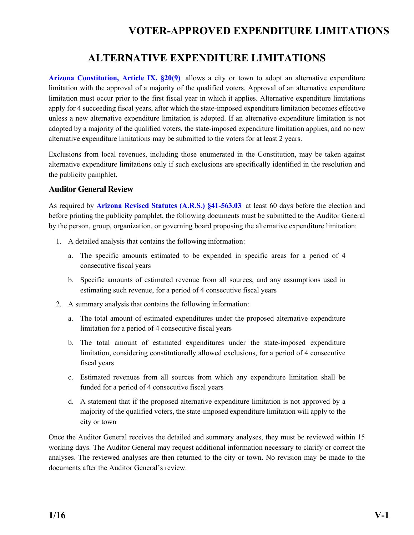### **ALTERNATIVE EXPENDITURE LIMITATIONS**

<span id="page-10-0"></span>**[Arizona Constitution, Article IX, §20\(9\)](http://www.azleg.gov/FormatDocument.asp?inDoc=/const/9/20.htm)**, allows a city or town to adopt an alternative expenditure limitation with the approval of a majority of the qualified voters. Approval of an alternative expenditure limitation must occur prior to the first fiscal year in which it applies. Alternative expenditure limitations apply for 4 succeeding fiscal years, after which the state-imposed expenditure limitation becomes effective unless a new alternative expenditure limitation is adopted. If an alternative expenditure limitation is not adopted by a majority of the qualified voters, the state-imposed expenditure limitation applies, and no new alternative expenditure limitations may be submitted to the voters for at least 2 years.

Exclusions from local revenues, including those enumerated in the Constitution, may be taken against alternative expenditure limitations only if such exclusions are specifically identified in the resolution and the publicity pamphlet.

### **Auditor General Review**

As required by **[Arizona Revised Statutes \(A.R.S.\) §41-563.03](http://www.azleg.gov/FormatDocument.asp?inDoc=/ars/41/00563-03.htm&Title=41&DocType=ARS)**, at least 60 days before the election and before printing the publicity pamphlet, the following documents must be submitted to the Auditor General by the person, group, organization, or governing board proposing the alternative expenditure limitation:

- 1. A detailed analysis that contains the following information:
	- a. The specific amounts estimated to be expended in specific areas for a period of 4 consecutive fiscal years
	- b. Specific amounts of estimated revenue from all sources, and any assumptions used in estimating such revenue, for a period of 4 consecutive fiscal years
- 2. A summary analysis that contains the following information:
	- a. The total amount of estimated expenditures under the proposed alternative expenditure limitation for a period of 4 consecutive fiscal years
	- b. The total amount of estimated expenditures under the state-imposed expenditure limitation, considering constitutionally allowed exclusions, for a period of 4 consecutive fiscal years
	- c. Estimated revenues from all sources from which any expenditure limitation shall be funded for a period of 4 consecutive fiscal years
	- d. A statement that if the proposed alternative expenditure limitation is not approved by a majority of the qualified voters, the state-imposed expenditure limitation will apply to the city or town

Once the Auditor General receives the detailed and summary analyses, they must be reviewed within 15 working days. The Auditor General may request additional information necessary to clarify or correct the analyses. The reviewed analyses are then returned to the city or town. No revision may be made to the documents after the Auditor General's review.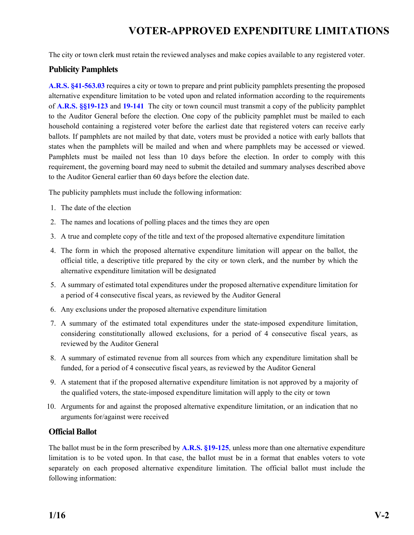The city or town clerk must retain the reviewed analyses and make copies available to any registered voter.

### **Publicity Pamphlets**

**[A.R.S. §41-563.03](http://www.azleg.gov/FormatDocument.asp?inDoc=/ars/41/00563-03.htm&Title=41&DocType=ARS)** requires a city or town to prepare and print publicity pamphlets presenting the proposed alternative expenditure limitation to be voted upon and related information according to the requirements of **[A.R.S. §§19-123](http://www.azleg.gov/FormatDocument.asp?inDoc=/ars/19/00123.htm&Title=19&DocType=ARS)** and **[19-141](http://www.azleg.gov/FormatDocument.asp?inDoc=/ars/19/00141.htm&Title=19&DocType=ARS)**. The city or town council must transmit a copy of the publicity pamphlet to the Auditor General before the election. One copy of the publicity pamphlet must be mailed to each household containing a registered voter before the earliest date that registered voters can receive early ballots. If pamphlets are not mailed by that date, voters must be provided a notice with early ballots that states when the pamphlets will be mailed and when and where pamphlets may be accessed or viewed. Pamphlets must be mailed not less than 10 days before the election. In order to comply with this requirement, the governing board may need to submit the detailed and summary analyses described above to the Auditor General earlier than 60 days before the election date.

The publicity pamphlets must include the following information:

- 1. The date of the election
- 2. The names and locations of polling places and the times they are open
- 3. A true and complete copy of the title and text of the proposed alternative expenditure limitation
- 4. The form in which the proposed alternative expenditure limitation will appear on the ballot, the official title, a descriptive title prepared by the city or town clerk, and the number by which the alternative expenditure limitation will be designated
- 5. A summary of estimated total expenditures under the proposed alternative expenditure limitation for a period of 4 consecutive fiscal years, as reviewed by the Auditor General
- 6. Any exclusions under the proposed alternative expenditure limitation
- 7. A summary of the estimated total expenditures under the state-imposed expenditure limitation, considering constitutionally allowed exclusions, for a period of 4 consecutive fiscal years, as reviewed by the Auditor General
- 8. A summary of estimated revenue from all sources from which any expenditure limitation shall be funded, for a period of 4 consecutive fiscal years, as reviewed by the Auditor General
- 9. A statement that if the proposed alternative expenditure limitation is not approved by a majority of the qualified voters, the state-imposed expenditure limitation will apply to the city or town
- 10. Arguments for and against the proposed alternative expenditure limitation, or an indication that no arguments for/against were received

### **Official Ballot**

The ballot must be in the form prescribed by **[A.R.S. §19-125](http://www.azleg.gov/FormatDocument.asp?inDoc=/ars/19/00125.htm&Title=19&DocType=ARS)**, unless more than one alternative expenditure limitation is to be voted upon. In that case, the ballot must be in a format that enables voters to vote separately on each proposed alternative expenditure limitation. The official ballot must include the following information: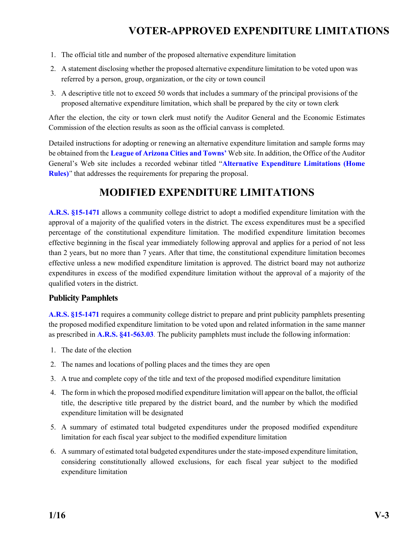- <span id="page-12-0"></span>1. The official title and number of the proposed alternative expenditure limitation
- 2. A statement disclosing whether the proposed alternative expenditure limitation to be voted upon was referred by a person, group, organization, or the city or town council
- 3. A descriptive title not to exceed 50 words that includes a summary of the principal provisions of the proposed alternative expenditure limitation, which shall be prepared by the city or town clerk

After the election, the city or town clerk must notify the Auditor General and the Economic Estimates Commission of the election results as soon as the official canvass is completed.

Detailed instructions for adopting or renewing an alternative expenditure limitation and sample forms may be obtained from the **[League of Arizona Cities and Towns'](http://www.azleague.org/index.aspx?NID=35)** Web site. In addition, the Office of the Auditor General's Web site includes a recorded webinar titled "**[Alternative Expenditure Limitations \(Home](http://www.azauditor.gov/reports-publications/cities-and-towns/webinars)  [Rules\)](http://www.azauditor.gov/reports-publications/cities-and-towns/webinars)**" that addresses the requirements for preparing the proposal.

### **MODIFIED EXPENDITURE LIMITATIONS**

**[A.R.S. §15-1471](http://www.azleg.gov/FormatDocument.asp?inDoc=/ars/15/01471.htm&Title=15&DocType=ARS)** allows a community college district to adopt a modified expenditure limitation with the approval of a majority of the qualified voters in the district. The excess expenditures must be a specified percentage of the constitutional expenditure limitation. The modified expenditure limitation becomes effective beginning in the fiscal year immediately following approval and applies for a period of not less than 2 years, but no more than 7 years. After that time, the constitutional expenditure limitation becomes effective unless a new modified expenditure limitation is approved. The district board may not authorize expenditures in excess of the modified expenditure limitation without the approval of a majority of the qualified voters in the district.

### **Publicity Pamphlets**

**[A.R.S. §15-1471](http://www.azleg.gov/FormatDocument.asp?inDoc=/ars/15/01471.htm&Title=15&DocType=ARS)** requires a community college district to prepare and print publicity pamphlets presenting the proposed modified expenditure limitation to be voted upon and related information in the same manner as prescribed in **[A.R.S. §41-563.03](http://www.azleg.gov/FormatDocument.asp?inDoc=/ars/41/00563-03.htm&Title=41&DocType=ARS)**. The publicity pamphlets must include the following information:

- 1. The date of the election
- 2. The names and locations of polling places and the times they are open
- 3. A true and complete copy of the title and text of the proposed modified expenditure limitation
- 4. The form in which the proposed modified expenditure limitation will appear on the ballot, the official title, the descriptive title prepared by the district board, and the number by which the modified expenditure limitation will be designated
- 5. A summary of estimated total budgeted expenditures under the proposed modified expenditure limitation for each fiscal year subject to the modified expenditure limitation
- 6. A summary of estimated total budgeted expenditures under the state-imposed expenditure limitation, considering constitutionally allowed exclusions, for each fiscal year subject to the modified expenditure limitation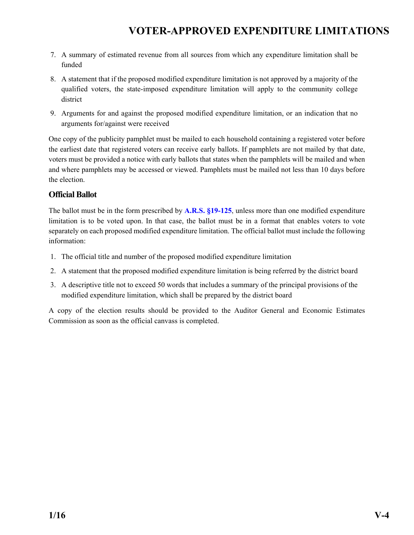- 7. A summary of estimated revenue from all sources from which any expenditure limitation shall be funded
- 8. A statement that if the proposed modified expenditure limitation is not approved by a majority of the qualified voters, the state-imposed expenditure limitation will apply to the community college district
- 9. Arguments for and against the proposed modified expenditure limitation, or an indication that no arguments for/against were received

One copy of the publicity pamphlet must be mailed to each household containing a registered voter before the earliest date that registered voters can receive early ballots. If pamphlets are not mailed by that date, voters must be provided a notice with early ballots that states when the pamphlets will be mailed and when and where pamphlets may be accessed or viewed. Pamphlets must be mailed not less than 10 days before the election.

### **Official Ballot**

The ballot must be in the form prescribed by **[A.R.S. §19-125](http://www.azleg.gov/FormatDocument.asp?inDoc=/ars/19/00125.htm&Title=19&DocType=ARS)**, unless more than one modified expenditure limitation is to be voted upon. In that case, the ballot must be in a format that enables voters to vote separately on each proposed modified expenditure limitation. The official ballot must include the following information:

- 1. The official title and number of the proposed modified expenditure limitation
- 2. A statement that the proposed modified expenditure limitation is being referred by the district board
- 3. A descriptive title not to exceed 50 words that includes a summary of the principal provisions of the modified expenditure limitation, which shall be prepared by the district board

A copy of the election results should be provided to the Auditor General and Economic Estimates Commission as soon as the official canvass is completed.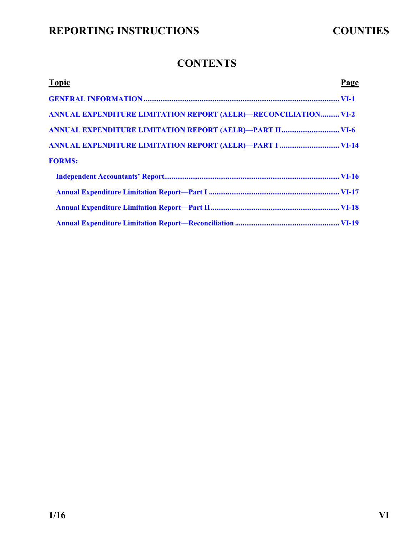### **CONTENTS**

<span id="page-14-0"></span>

| <b>Topic</b>                                                           | Page |
|------------------------------------------------------------------------|------|
|                                                                        |      |
| <b>ANNUAL EXPENDITURE LIMITATION REPORT (AELR)-RECONCILIATION VI-2</b> |      |
|                                                                        |      |
|                                                                        |      |
| <b>FORMS:</b>                                                          |      |
|                                                                        |      |
|                                                                        |      |
|                                                                        |      |
|                                                                        |      |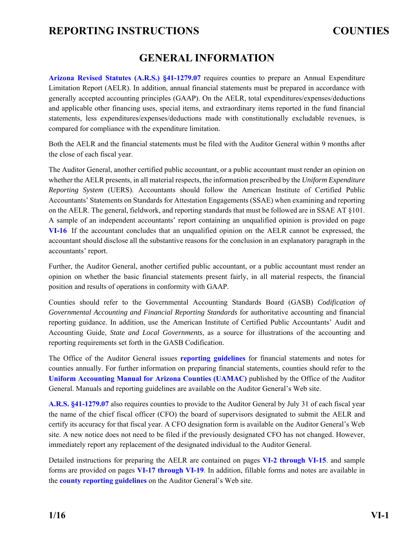### **GENERAL INFORMATION**

<span id="page-15-0"></span>**[Arizona Revised Statutes \(A.R.S.\) §41-1279.07](http://www.azleg.gov/FormatDocument.asp?inDoc=/ars/41/01279-07.htm&Title=41&DocType=ARS)** requires counties to prepare an Annual Expenditure Limitation Report (AELR). In addition, annual financial statements must be prepared in accordance with generally accepted accounting principles (GAAP). On the AELR, total expenditures/expenses/deductions and applicable other financing uses, special items, and extraordinary items reported in the fund financial statements, less expenditures/expenses/deductions made with constitutionally excludable revenues, is compared for compliance with the expenditure limitation.

Both the AELR and the financial statements must be filed with the Auditor General within 9 months after the close of each fiscal year.

The Auditor General, another certified public accountant, or a public accountant must render an opinion on whether the AELR presents, in all material respects, the information prescribed by the *Uniform Expenditure Reporting System* (UERS). Accountants should follow the American Institute of Certified Public Accountants' Statements on Standards for Attestation Engagements (SSAE) when examining and reporting on the AELR. The general, fieldwork, and reporting standards that must be followed are in SSAE AT §101. A sample of an independent accountants' report containing an unqualified opinion is provided on page **[VI-16](#page-30-0)**. If the accountant concludes that an unqualified opinion on the AELR cannot be expressed, the accountant should disclose all the substantive reasons for the conclusion in an explanatory paragraph in the accountants' report.

Further, the Auditor General, another certified public accountant, or a public accountant must render an opinion on whether the basic financial statements present fairly, in all material respects, the financial position and results of operations in conformity with GAAP.

Counties should refer to the Governmental Accounting Standards Board (GASB) *Codification of Governmental Accounting and Financial Reporting Standards* for authoritative accounting and financial reporting guidance. In addition, use the American Institute of Certified Public Accountants' Audit and Accounting Guide, *State and Local Governments*, as a source for illustrations of the accounting and reporting requirements set forth in the GASB Codification.

The Office of the Auditor General issues **[reporting guidelines](http://www.azauditor.gov/reporting-guidelines-0)** for financial statements and notes for counties annually. For further information on preparing financial statements, counties should refer to the **[Uniform Accounting Manual for Arizona Counties \(UAMAC\)](http://www.azauditor.gov/sites/default/files/UAMAC.pdf)** published by the Office of the Auditor General. Manuals and reporting guidelines are available on the Auditor General's Web site.

**[A.R.S. §41-1279.07](http://www.azleg.gov/FormatDocument.asp?inDoc=/ars/41/01279-07.htm&Title=41&DocType=ARS)** also requires counties to provide to the Auditor General by July 31 of each fiscal year the name of the chief fiscal officer (CFO) the board of supervisors designated to submit the AELR and certify its accuracy for that fiscal year. A CFO designation form is available on the Auditor General's Web site. A new notice does not need to be filed if the previously designated CFO has not changed. However, immediately report any replacement of the designated individual to the Auditor General.

Detailed instructions for preparing the AELR are contained on pages **[VI-2 through VI-15,](#page-16-0)** and sample forms are provided on pages **[VI-17 through VI-19.](#page-31-0)** In addition, fillable forms and notes are available in the **[county reporting guidelines](http://www.azauditor.gov/reporting-guidelines-0)** on the Auditor General's Web site.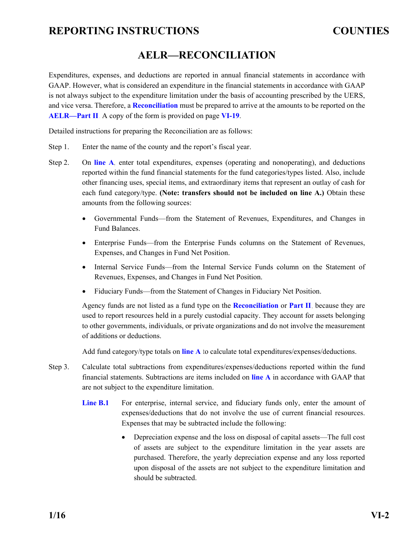### **AELR—RECONCILIATION**

<span id="page-16-0"></span>Expenditures, expenses, and deductions are reported in annual financial statements in accordance with GAAP. However, what is considered an expenditure in the financial statements in accordance with GAAP is not always subject to the expenditure limitation under the basis of accounting prescribed by the UERS, and vice versa. Therefore, a **[Reconciliation](#page-33-0)** must be prepared to arrive at the amounts to be reported on the **[AELR—Part II](#page-32-0)**. A copy of the form is provided on page **[VI-19](#page-33-0)**.

Detailed instructions for preparing the Reconciliation are as follows:

- Step 1. Enter the name of the county and the report's fiscal year.
- Step 2. On **[line A](#page-33-0)**, enter total expenditures, expenses (operating and nonoperating), and deductions reported within the fund financial statements for the fund categories/types listed. Also, include other financing uses, special items, and extraordinary items that represent an outlay of cash for each fund category/type. **(Note: transfers should not be included on line A.)** Obtain these amounts from the following sources:
	- Governmental Funds—from the Statement of Revenues, Expenditures, and Changes in Fund Balances.
	- Enterprise Funds—from the Enterprise Funds columns on the Statement of Revenues, Expenses, and Changes in Fund Net Position.
	- Internal Service Funds—from the Internal Service Funds column on the Statement of Revenues, Expenses, and Changes in Fund Net Position.
	- Fiduciary Funds—from the Statement of Changes in Fiduciary Net Position.

Agency funds are not listed as a fund type on the **[Reconciliation](#page-33-0)** or **[Part II](#page-32-0)**, because they are used to report resources held in a purely custodial capacity. They account for assets belonging to other governments, individuals, or private organizations and do not involve the measurement of additions or deductions.

Add fund category/type totals on **[line A](#page-33-0)** to calculate total expenditures/expenses/deductions.

- Step 3. Calculate total subtractions from expenditures/expenses/deductions reported within the fund financial statements. Subtractions are items included on **[line A](#page-33-0)** in accordance with GAAP that are not subject to the expenditure limitation.
	- Line **B.1** For enterprise, internal service, and fiduciary funds only, enter the amount of expenses/deductions that do not involve the use of current financial resources. Expenses that may be subtracted include the following:
		- Depreciation expense and the loss on disposal of capital assets—The full cost of assets are subject to the expenditure limitation in the year assets are purchased. Therefore, the yearly depreciation expense and any loss reported upon disposal of the assets are not subject to the expenditure limitation and should be subtracted.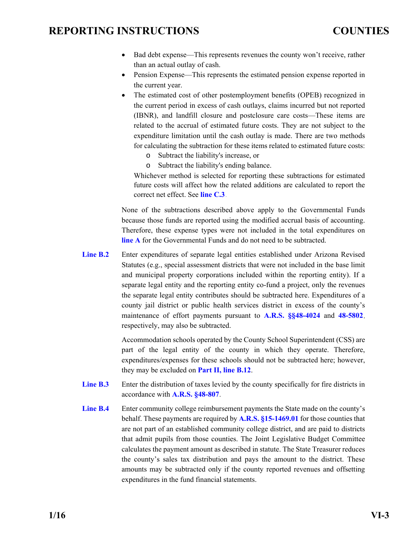- <span id="page-17-0"></span> Bad debt expense—This represents revenues the county won't receive, rather than an actual outlay of cash.
- Pension Expense—This represents the estimated pension expense reported in the current year.
- The estimated cost of other postemployment benefits (OPEB) recognized in the current period in excess of cash outlays, claims incurred but not reported (IBNR), and landfill closure and postclosure care costs—These items are related to the accrual of estimated future costs. They are not subject to the expenditure limitation until the cash outlay is made. There are two methods for calculating the subtraction for these items related to estimated future costs:
	- o Subtract the liability's increase, or
	- o Subtract the liability's ending balance.

Whichever method is selected for reporting these subtractions for estimated future costs will affect how the related additions are calculated to report the correct net effect. See **[line C.3](#page-19-0)**.

None of the subtractions described above apply to the Governmental Funds because those funds are reported using the modified accrual basis of accounting. Therefore, these expense types were not included in the total expenditures on **[line A](#page-16-0)** for the Governmental Funds and do not need to be subtracted.

**[Line B.2](#page-33-0)** Enter expenditures of separate legal entities established under Arizona Revised Statutes (e.g., special assessment districts that were not included in the base limit and municipal property corporations included within the reporting entity). If a separate legal entity and the reporting entity co-fund a project, only the revenues the separate legal entity contributes should be subtracted here. Expenditures of a county jail district or public health services district in excess of the county's maintenance of effort payments pursuant to **A.R.S. [§§48-4024](http://www.azleg.gov/FormatDocument.asp?inDoc=/ars/48/04024.htm&Title=48&DocType=ARS)** and **[48-5802](http://www.azleg.gov/FormatDocument.asp?inDoc=/ars/48/05802.htm&Title=48&DocType=ARS)**, respectively, may also be subtracted.

> Accommodation schools operated by the County School Superintendent (CSS) are part of the legal entity of the county in which they operate. Therefore, expenditures/expenses for these schools should not be subtracted here; however, they may be excluded on **[Part II, line B.12](#page-32-0)**.

- **[Line B.3](#page-33-0)** Enter the distribution of taxes levied by the county specifically for fire districts in accordance with **[A.R.S. §48-807](http://www.azleg.gov/FormatDocument.asp?inDoc=/ars/48/00807.htm&Title=48&DocType=ARS)**.
- **[Line B.4](#page-33-0)** Enter community college reimbursement payments the State made on the county's behalf. These payments are required by **[A.R.S. §15-1469.01](http://www.azleg.gov/FormatDocument.asp?inDoc=/ars/15/01469-01.htm&Title=15&DocType=ARS)** for those counties that are not part of an established community college district, and are paid to districts that admit pupils from those counties. The Joint Legislative Budget Committee calculates the payment amount as described in statute. The State Treasurer reduces the county's sales tax distribution and pays the amount to the district. These amounts may be subtracted only if the county reported revenues and offsetting expenditures in the fund financial statements.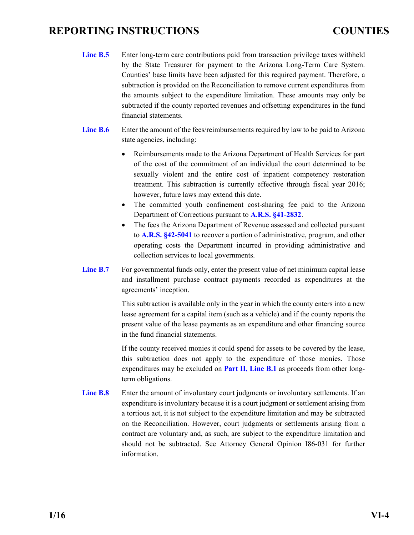- <span id="page-18-0"></span>Line **B.5** Enter long-term care contributions paid from transaction privilege taxes withheld by the State Treasurer for payment to the Arizona Long-Term Care System. Counties' base limits have been adjusted for this required payment. Therefore, a subtraction is provided on the Reconciliation to remove current expenditures from the amounts subject to the expenditure limitation. These amounts may only be subtracted if the county reported revenues and offsetting expenditures in the fund financial statements.
- Line **B.6** Enter the amount of the fees/reimbursements required by law to be paid to Arizona state agencies, including:
	- Reimbursements made to the Arizona Department of Health Services for part of the cost of the commitment of an individual the court determined to be sexually violent and the entire cost of inpatient competency restoration treatment. This subtraction is currently effective through fiscal year 2016; however, future laws may extend this date.
	- The committed youth confinement cost-sharing fee paid to the Arizona Department of Corrections pursuant to **[A.R.S. §41-2832](http://www.azleg.gov/FormatDocument.asp?inDoc=/ars/41/02832.htm&Title=41&DocType=ARS)**.
	- The fees the Arizona Department of Revenue assessed and collected pursuant to **[A.R.S. §42-5041](http://www.azleg.gov/FormatDocument.asp?inDoc=/ars/42/05041.htm&Title=42&DocType=ARS)** to recover a portion of administrative, program, and other operating costs the Department incurred in providing administrative and collection services to local governments.
- Line **B.7** For governmental funds only, enter the present value of net minimum capital lease and installment purchase contract payments recorded as expenditures at the agreements' inception.

This subtraction is available only in the year in which the county enters into a new lease agreement for a capital item (such as a vehicle) and if the county reports the present value of the lease payments as an expenditure and other financing source in the fund financial statements.

If the county received monies it could spend for assets to be covered by the lease, this subtraction does not apply to the expenditure of those monies. Those expenditures may be excluded on **[Part II, Line B.1](#page-20-0)** as proceeds from other longterm obligations.

**[Line B.8](#page-33-0)** Enter the amount of involuntary court judgments or involuntary settlements. If an expenditure is involuntary because it is a court judgment or settlement arising from a tortious act, it is not subject to the expenditure limitation and may be subtracted on the Reconciliation. However, court judgments or settlements arising from a contract are voluntary and, as such, are subject to the expenditure limitation and should not be subtracted. See Attorney General Opinion I86-031 for further information.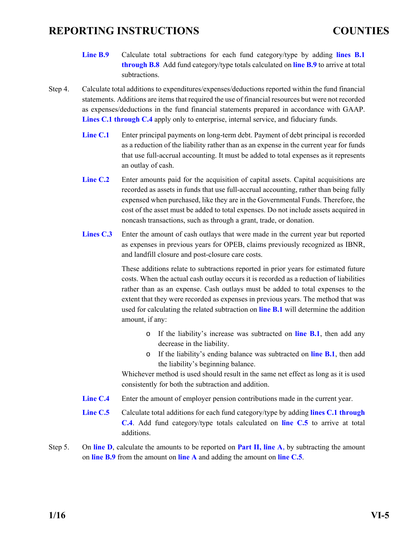- <span id="page-19-0"></span>**[Line B.9](#page-33-0)** Calculate total subtractions for each fund category/type by adding **[lines B.1](#page-33-0)  [through B.8](#page-33-0)**. Add fund category/type totals calculated on **[line B.9](#page-33-0)** to arrive at total subtractions.
- Step 4. Calculate total additions to expenditures/expenses/deductions reported within the fund financial statements. Additions are items that required the use of financial resources but were not recorded as expenses/deductions in the fund financial statements prepared in accordance with GAAP. **[Lines C.1 through C.4](#page-33-0)** apply only to enterprise, internal service, and fiduciary funds.
	- [Line C.1](#page-33-0) Enter principal payments on long-term debt. Payment of debt principal is recorded as a reduction of the liability rather than as an expense in the current year for funds that use full-accrual accounting. It must be added to total expenses as it represents an outlay of cash.
	- [Line C.2](#page-33-0) Enter amounts paid for the acquisition of capital assets. Capital acquisitions are recorded as assets in funds that use full-accrual accounting, rather than being fully expensed when purchased, like they are in the Governmental Funds. Therefore, the cost of the asset must be added to total expenses. Do not include assets acquired in noncash transactions, such as through a grant, trade, or donation.
	- [Lines C.3](#page-33-0) Enter the amount of cash outlays that were made in the current year but reported as expenses in previous years for OPEB, claims previously recognized as IBNR, and landfill closure and post-closure care costs.

These additions relate to subtractions reported in prior years for estimated future costs. When the actual cash outlay occurs it is recorded as a reduction of liabilities rather than as an expense. Cash outlays must be added to total expenses to the extent that they were recorded as expenses in previous years. The method that was used for calculating the related subtraction on **[line B.1](#page-17-0)** will determine the addition amount, if any:

- o If the liability's increase was subtracted on **[line B.1](#page-17-0)**, then add any decrease in the liability.
- o If the liability's ending balance was subtracted on **[line B.1](#page-17-0)**, then add the liability's beginning balance.

Whichever method is used should result in the same net effect as long as it is used consistently for both the subtraction and addition.

- **[Line C.4](#page-33-0)** Enter the amount of employer pension contributions made in the current year.
- **[Line C.5](#page-33-0)** Calculate total additions for each fund category/type by adding **[lines C.1 through](#page-33-0)  [C.4](#page-33-0)**. Add fund category/type totals calculated on **[line C.5](#page-33-0)** to arrive at total additions.
- Step 5. On **[line D](#page-33-0)**, calculate the amounts to be reported on **[Part II, line A,](#page-20-0)** by subtracting the amount on **[line B.9](#page-33-0)** from the amount on **[line A](#page-33-0)** and adding the amount on **[line C.5](#page-33-0)**.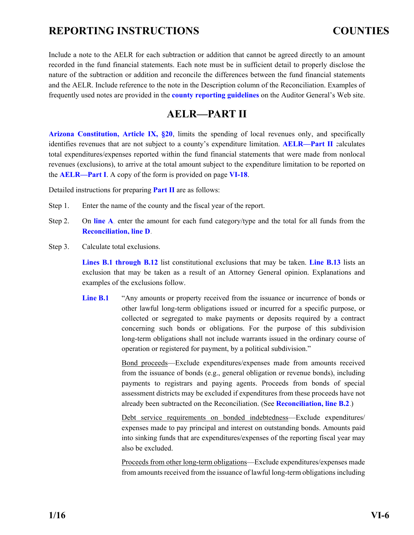<span id="page-20-0"></span>Include a note to the AELR for each subtraction or addition that cannot be agreed directly to an amount recorded in the fund financial statements. Each note must be in sufficient detail to properly disclose the nature of the subtraction or addition and reconcile the differences between the fund financial statements and the AELR. Include reference to the note in the Description column of the Reconciliation. Examples of frequently used notes are provided in the **[county reporting guidelines](http://www.azauditor.gov/reporting-guidelines-0)** on the Auditor General's Web site.

### **AELR—PART II**

**[Arizona Constitution, Article IX, §20](http://www.azleg.gov/FormatDocument.asp?inDoc=/const/9/20.htm)**, limits the spending of local revenues only, and specifically identifies revenues that are not subject to a county's expenditure limitation. **[AELR—Part II](#page-32-0)** calculates total expenditures/expenses reported within the fund financial statements that were made from nonlocal revenues (exclusions), to arrive at the total amount subject to the expenditure limitation to be reported on the **[AELR—Part I](#page-31-0)**. A copy of the form is provided on page **[VI-18](#page-32-0)**.

Detailed instructions for preparing **[Part II](#page-32-0)** are as follows:

- Step 1. Enter the name of the county and the fiscal year of the report.
- Step 2. On **[line A](#page-32-0)**, enter the amount for each fund category/type and the total for all funds from the **[Reconciliation,](#page-33-0) line D**.
- Step 3. Calculate total exclusions.

**[Lines B.1 through B.12](#page-32-0)** list constitutional exclusions that may be taken. **[Line B.13](#page-32-0)** lists an exclusion that may be taken as a result of an Attorney General opinion. Explanations and examples of the exclusions follow.

Line **B.1** "Any amounts or property received from the issuance or incurrence of bonds or other lawful long-term obligations issued or incurred for a specific purpose, or collected or segregated to make payments or deposits required by a contract concerning such bonds or obligations. For the purpose of this subdivision long-term obligations shall not include warrants issued in the ordinary course of operation or registered for payment, by a political subdivision."

> Bond proceeds—Exclude expenditures/expenses made from amounts received from the issuance of bonds (e.g., general obligation or revenue bonds), including payments to registrars and paying agents. Proceeds from bonds of special assessment districts may be excluded if expenditures from these proceeds have not already been subtracted on the Reconciliation. (See **[Reconciliation, line B.2](#page-17-0)**.)

> Debt service requirements on bonded indebtedness—Exclude expenditures/ expenses made to pay principal and interest on outstanding bonds. Amounts paid into sinking funds that are expenditures/expenses of the reporting fiscal year may also be excluded.

> Proceeds from other long-term obligations—Exclude expenditures/expenses made from amounts received from the issuance of lawful long-term obligations including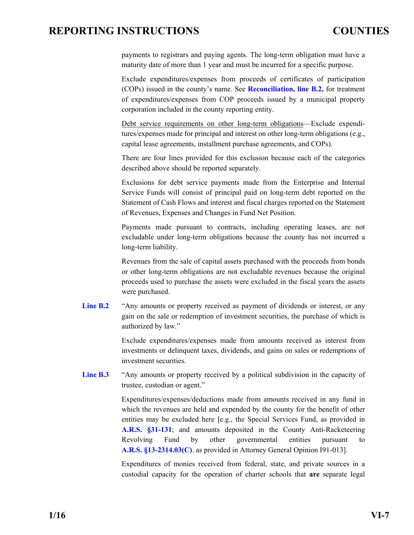<span id="page-21-0"></span>payments to registrars and paying agents. The long-term obligation must have a maturity date of more than 1 year and must be incurred for a specific purpose.

 Exclude expenditures/expenses from proceeds of certificates of participation (COPs) issued in the county's name. See **[Reconciliation, line B.2,](#page-17-0)** for treatment of expenditures/expenses from COP proceeds issued by a municipal property corporation included in the county reporting entity.

Debt service requirements on other long-term obligations—Exclude expenditures/expenses made for principal and interest on other long-term obligations (e.g., capital lease agreements, installment purchase agreements, and COPs).

There are four lines provided for this exclusion because each of the categories described above should be reported separately.

Exclusions for debt service payments made from the Enterprise and Internal Service Funds will consist of principal paid on long-term debt reported on the Statement of Cash Flows and interest and fiscal charges reported on the Statement of Revenues, Expenses and Changes in Fund Net Position.

Payments made pursuant to contracts, including operating leases, are not excludable under long-term obligations because the county has not incurred a long-term liability.

Revenues from the sale of capital assets purchased with the proceeds from bonds or other long-term obligations are not excludable revenues because the original proceeds used to purchase the assets were excluded in the fiscal years the assets were purchased.

Line **B.2** "Any amounts or property received as payment of dividends or interest, or any gain on the sale or redemption of investment securities, the purchase of which is authorized by law."

> Exclude expenditures/expenses made from amounts received as interest from investments or delinquent taxes, dividends, and gains on sales or redemptions of investment securities.

Line **B.3** "Any amounts or property received by a political subdivision in the capacity of trustee, custodian or agent."

> Expenditures/expenses/deductions made from amounts received in any fund in which the revenues are held and expended by the county for the benefit of other entities may be excluded here [e.g., the Special Services Fund, as provided in **[A.R.S. §31-131](http://www.azleg.gov/FormatDocument.asp?inDoc=/ars/31/00131.htm&Title=31&DocType=ARS)**; and amounts deposited in the County Anti-Racketeering Revolving Fund by other governmental entities pursuant to **[A.R.S. §13-2314.03\(C\)](http://www.azleg.gov/FormatDocument.asp?inDoc=/ars/13/02314-03.htm&Title=13&DocType=ARS)**, as provided in Attorney General Opinion I91-013].

> Expenditures of monies received from federal, state, and private sources in a custodial capacity for the operation of charter schools that **are** separate legal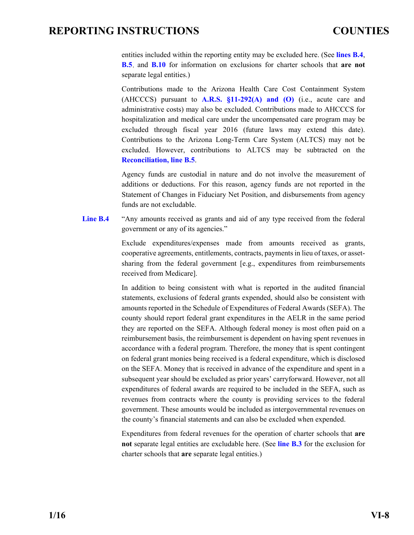<span id="page-22-0"></span>entities included within the reporting entity may be excluded here. (See **lines B.4**, **[B.5](#page-23-0)**, and **[B.10](#page-25-0)** for information on exclusions for charter schools that **are not**  separate legal entities.)

Contributions made to the Arizona Health Care Cost Containment System (AHCCCS) pursuant to  $A.R.S. \$ §11-292( $A$ ) and (O) (i.e., acute care and administrative costs) may also be excluded. Contributions made to AHCCCS for hospitalization and medical care under the uncompensated care program may be excluded through fiscal year 2016 (future laws may extend this date). Contributions to the Arizona Long-Term Care System (ALTCS) may not be excluded. However, contributions to ALTCS may be subtracted on the **[Reconciliation,](#page-18-0) line B.5**.

Agency funds are custodial in nature and do not involve the measurement of additions or deductions. For this reason, agency funds are not reported in the Statement of Changes in Fiduciary Net Position, and disbursements from agency funds are not excludable.

Line **B.4** "Any amounts received as grants and aid of any type received from the federal government or any of its agencies."

> Exclude expenditures/expenses made from amounts received as grants, cooperative agreements, entitlements, contracts, payments in lieu of taxes, or assetsharing from the federal government [e.g., expenditures from reimbursements received from Medicare].

> In addition to being consistent with what is reported in the audited financial statements, exclusions of federal grants expended, should also be consistent with amounts reported in the Schedule of Expenditures of Federal Awards (SEFA). The county should report federal grant expenditures in the AELR in the same period they are reported on the SEFA. Although federal money is most often paid on a reimbursement basis, the reimbursement is dependent on having spent revenues in accordance with a federal program. Therefore, the money that is spent contingent on federal grant monies being received is a federal expenditure, which is disclosed on the SEFA. Money that is received in advance of the expenditure and spent in a subsequent year should be excluded as prior years' carryforward. However, not all expenditures of federal awards are required to be included in the SEFA, such as revenues from contracts where the county is providing services to the federal government. These amounts would be included as intergovernmental revenues on the county's financial statements and can also be excluded when expended.

> Expenditures from federal revenues for the operation of charter schools that **are not** separate legal entities are excludable here. (See **[line B.3](#page-21-0)** for the exclusion for charter schools that **are** separate legal entities.)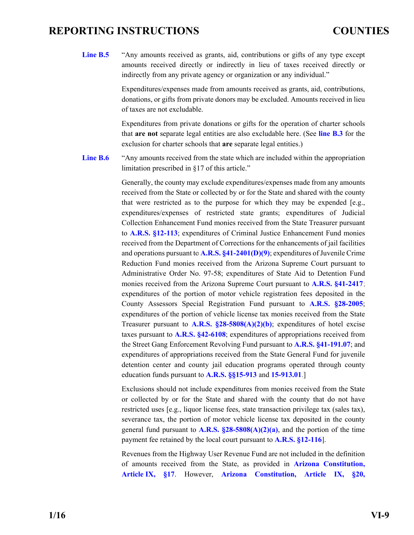<span id="page-23-0"></span>Line **B.5** "Any amounts received as grants, aid, contributions or gifts of any type except amounts received directly or indirectly in lieu of taxes received directly or indirectly from any private agency or organization or any individual."

> Expenditures/expenses made from amounts received as grants, aid, contributions, donations, or gifts from private donors may be excluded. Amounts received in lieu of taxes are not excludable.

> Expenditures from private donations or gifts for the operation of charter schools that **are not** separate legal entities are also excludable here. (See **[line B.3](#page-21-0)** for the exclusion for charter schools that **are** separate legal entities.)

Line **B.6** "Any amounts received from the state which are included within the appropriation limitation prescribed in §17 of this article."

> Generally, the county may exclude expenditures/expenses made from any amounts received from the State or collected by or for the State and shared with the county that were restricted as to the purpose for which they may be expended [e.g., expenditures/expenses of restricted state grants; expenditures of Judicial Collection Enhancement Fund monies received from the State Treasurer pursuant to **[A.R.S. §12-113](http://www.azleg.gov/FormatDocument.asp?inDoc=/ars/12/00113.htm&Title=12&DocType=ARS)**; expenditures of Criminal Justice Enhancement Fund monies received from the Department of Corrections for the enhancements of jail facilities and operations pursuant to **[A.R.S. §41-2401\(D\)\(9\)](http://www.azleg.gov/FormatDocument.asp?inDoc=/ars/41/02401.htm&Title=41&DocType=ARS)**; expenditures of Juvenile Crime Reduction Fund monies received from the Arizona Supreme Court pursuant to Administrative Order No. 97-58; expenditures of State Aid to Detention Fund monies received from the Arizona Supreme Court pursuant to **[A.R.S. §41-2417](http://www.azleg.gov/FormatDocument.asp?inDoc=/ars/41/02417.htm&Title=41&DocType=ARS)**; expenditures of the portion of motor vehicle registration fees deposited in the County Assessors Special Registration Fund pursuant to **[A.R.S. §28-2005](http://www.azleg.gov/FormatDocument.asp?inDoc=/ars/28/02005.htm&Title=28&DocType=ARS)**; expenditures of the portion of vehicle license tax monies received from the State Treasurer pursuant to **[A.R.S. §28-5808\(A\)\(2\)\(b\)](http://www.azleg.gov/FormatDocument.asp?inDoc=/ars/28/05808.htm&Title=28&DocType=ARS)**; expenditures of hotel excise taxes pursuant to **[A.R.S. §42-6108](http://www.azleg.gov/FormatDocument.asp?inDoc=/ars/42/06108.htm&Title=42&DocType=ARS)**; expenditures of appropriations received from the Street Gang Enforcement Revolving Fund pursuant to **[A.R.S. §41-191.07](http://www.azleg.gov/FormatDocument.asp?inDoc=/ars/41/00191-07.htm&Title=41&DocType=ARS)**; and expenditures of appropriations received from the State General Fund for juvenile detention center and county jail education programs operated through county education funds pursuant to **[A.R.S. §§15-913](http://www.azleg.gov/FormatDocument.asp?inDoc=/ars/15/00913.htm&Title=15&DocType=ARS)** and **[15-913.01](http://www.azleg.gov/FormatDocument.asp?inDoc=/ars/15/00913-01.htm&Title=15&DocType=ARS)**.]

> Exclusions should not include expenditures from monies received from the State or collected by or for the State and shared with the county that do not have restricted uses [e.g., liquor license fees, state transaction privilege tax (sales tax), severance tax, the portion of motor vehicle license tax deposited in the county general fund pursuant to **[A.R.S. §28-5808\(A\)\(2\)\(a\)](http://www.azleg.gov/FormatDocument.asp?inDoc=/ars/28/05808.htm&Title=28&DocType=ARS)**, and the portion of the time payment fee retained by the local court pursuant to **[A.R.S. §12-116](http://www.azleg.gov/FormatDocument.asp?inDoc=/ars/12/00116.htm&Title=12&DocType=ARS)**].

> Revenues from the Highway User Revenue Fund are not included in the definition of amounts received from the State, as provided in **[Arizona Constitution,](http://www.azleg.gov/FormatDocument.asp?inDoc=/const/9/17.htm)  [Article IX, §17](http://www.azleg.gov/FormatDocument.asp?inDoc=/const/9/17.htm)**. However, **[Arizona Constitution, Article IX, §20,](http://www.azleg.gov/FormatDocument.asp?inDoc=/const/9/20.htm)**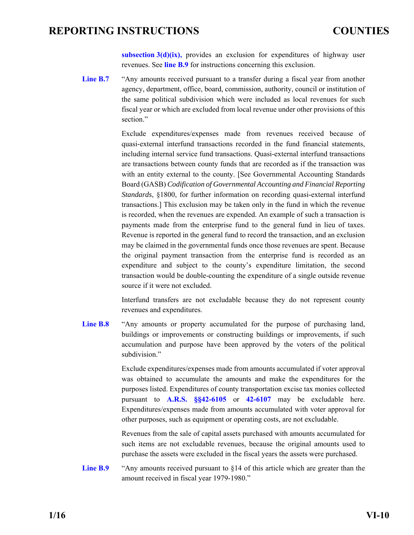**[subsection 3\(d\)\(ix\),](http://www.azleg.gov/FormatDocument.asp?inDoc=/const/9/20.htm)** provides an exclusion for expenditures of highway user revenues. See **line B.9** for instructions concerning this exclusion.

<span id="page-24-0"></span>[Line B.7](#page-32-0) "Any amounts received pursuant to a transfer during a fiscal year from another agency, department, office, board, commission, authority, council or institution of the same political subdivision which were included as local revenues for such fiscal year or which are excluded from local revenue under other provisions of this section."

> Exclude expenditures/expenses made from revenues received because of quasi-external interfund transactions recorded in the fund financial statements, including internal service fund transactions. Quasi-external interfund transactions are transactions between county funds that are recorded as if the transaction was with an entity external to the county. [See Governmental Accounting Standards Board (GASB) *Codification of Governmental Accounting and Financial Reporting Standards*, §1800, for further information on recording quasi-external interfund transactions.] This exclusion may be taken only in the fund in which the revenue is recorded, when the revenues are expended. An example of such a transaction is payments made from the enterprise fund to the general fund in lieu of taxes. Revenue is reported in the general fund to record the transaction, and an exclusion may be claimed in the governmental funds once those revenues are spent. Because the original payment transaction from the enterprise fund is recorded as an expenditure and subject to the county's expenditure limitation, the second transaction would be double-counting the expenditure of a single outside revenue source if it were not excluded.

> Interfund transfers are not excludable because they do not represent county revenues and expenditures.

Line **B.8** "Any amounts or property accumulated for the purpose of purchasing land, buildings or improvements or constructing buildings or improvements, if such accumulation and purpose have been approved by the voters of the political subdivision."

> Exclude expenditures/expenses made from amounts accumulated if voter approval was obtained to accumulate the amounts and make the expenditures for the purposes listed. Expenditures of county transportation excise tax monies collected pursuant to **[A.R.S. §§42-6105](http://www.azleg.gov/FormatDocument.asp?inDoc=/ars/42/06105.htm&Title=42&DocType=ARS)** or **[42-6107](http://www.azleg.gov/FormatDocument.asp?inDoc=/ars/42/06107.htm&Title=42&DocType=ARS)** may be excludable here. Expenditures/expenses made from amounts accumulated with voter approval for other purposes, such as equipment or operating costs, are not excludable.

> Revenues from the sale of capital assets purchased with amounts accumulated for such items are not excludable revenues, because the original amounts used to purchase the assets were excluded in the fiscal years the assets were purchased.

Line **B.9** "Any amounts received pursuant to §14 of this article which are greater than the amount received in fiscal year 1979-1980."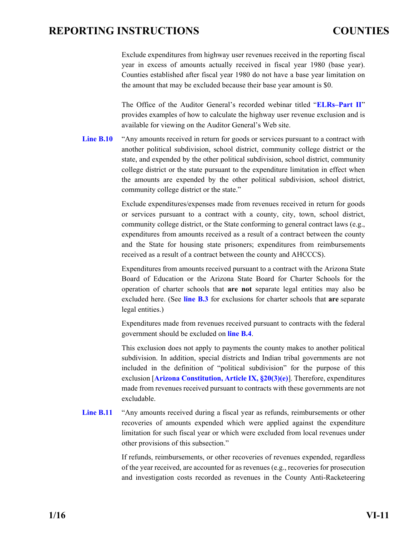<span id="page-25-0"></span>Exclude expenditures from highway user revenues received in the reporting fiscal year in excess of amounts actually received in fiscal year 1980 (base year). Counties established after fiscal year 1980 do not have a base year limitation on the amount that may be excluded because their base year amount is \$0.

 The Office of the Auditor General's recorded webinar titled "**[ELRs–Part II](http://www.azauditor.gov/reports-publications/counties/webinars)**" provides examples of how to calculate the highway user revenue exclusion and is available for viewing on the Auditor General's Web site.

Line **B.10** "Any amounts received in return for goods or services pursuant to a contract with another political subdivision, school district, community college district or the state, and expended by the other political subdivision, school district, community college district or the state pursuant to the expenditure limitation in effect when the amounts are expended by the other political subdivision, school district, community college district or the state."

> Exclude expenditures/expenses made from revenues received in return for goods or services pursuant to a contract with a county, city, town, school district, community college district, or the State conforming to general contract laws (e.g., expenditures from amounts received as a result of a contract between the county and the State for housing state prisoners; expenditures from reimbursements received as a result of a contract between the county and AHCCCS).

> Expenditures from amounts received pursuant to a contract with the Arizona State Board of Education or the Arizona State Board for Charter Schools for the operation of charter schools that **are not** separate legal entities may also be excluded here. (See **[line B.3](#page-21-0)** for exclusions for charter schools that **are** separate legal entities.)

> Expenditures made from revenues received pursuant to contracts with the federal government should be excluded on **[line B.4](#page-22-0)**.

> This exclusion does not apply to payments the county makes to another political subdivision. In addition, special districts and Indian tribal governments are not included in the definition of "political subdivision" for the purpose of this exclusion [**[Arizona Constitution, Article IX, §20\(3\)\(e\)](http://www.azleg.gov/FormatDocument.asp?inDoc=/const/9/20.htm)**]. Therefore, expenditures made from revenues received pursuant to contracts with these governments are not excludable.

[Line B.11](#page-32-0) "Any amounts received during a fiscal year as refunds, reimbursements or other recoveries of amounts expended which were applied against the expenditure limitation for such fiscal year or which were excluded from local revenues under other provisions of this subsection."

> If refunds, reimbursements, or other recoveries of revenues expended, regardless of the year received, are accounted for as revenues (e.g., recoveries for prosecution and investigation costs recorded as revenues in the County Anti-Racketeering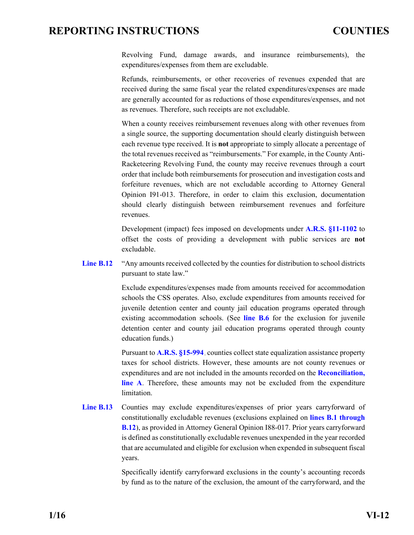<span id="page-26-0"></span>Revolving Fund, damage awards, and insurance reimbursements), the expenditures/expenses from them are excludable.

Refunds, reimbursements, or other recoveries of revenues expended that are received during the same fiscal year the related expenditures/expenses are made are generally accounted for as reductions of those expenditures/expenses, and not as revenues. Therefore, such receipts are not excludable.

When a county receives reimbursement revenues along with other revenues from a single source, the supporting documentation should clearly distinguish between each revenue type received. It is **not** appropriate to simply allocate a percentage of the total revenues received as "reimbursements." For example, in the County Anti-Racketeering Revolving Fund, the county may receive revenues through a court order that include both reimbursements for prosecution and investigation costs and forfeiture revenues, which are not excludable according to Attorney General Opinion I91-013. Therefore, in order to claim this exclusion, documentation should clearly distinguish between reimbursement revenues and forfeiture revenues.

Development (impact) fees imposed on developments under **[A.R.S. §11-1102](http://www.azleg.gov/FormatDocument.asp?inDoc=/ars/11/01102.htm&Title=11&DocType=ARS)** to offset the costs of providing a development with public services are **not** excludable.

Line **B.12** "Any amounts received collected by the counties for distribution to school districts pursuant to state law."

> Exclude expenditures/expenses made from amounts received for accommodation schools the CSS operates. Also, exclude expenditures from amounts received for juvenile detention center and county jail education programs operated through existing accommodation schools. (See **[line B.6](#page-23-0)** for the exclusion for juvenile detention center and county jail education programs operated through county education funds.)

> Pursuant to **[A.R.S. §15-994](http://www.azleg.gov/FormatDocument.asp?inDoc=/ars/15/00994.htm&Title=15&DocType=ARS)**, counties collect state equalization assistance property taxes for school districts. However, these amounts are not county revenues or expenditures and are not included in the amounts recorded on the **[Reconciliation,](#page-16-0)  [line A](#page-16-0)**. Therefore, these amounts may not be excluded from the expenditure limitation.

Line **B.13** Counties may exclude expenditures/expenses of prior years carryforward of constitutionally excludable revenues (exclusions explained on **[lines B.1 through](#page-32-0)  [B.12](#page-32-0)**), as provided in Attorney General Opinion I88-017. Prior years carryforward is defined as constitutionally excludable revenues unexpended in the year recorded that are accumulated and eligible for exclusion when expended in subsequent fiscal years.

> Specifically identify carryforward exclusions in the county's accounting records by fund as to the nature of the exclusion, the amount of the carryforward, and the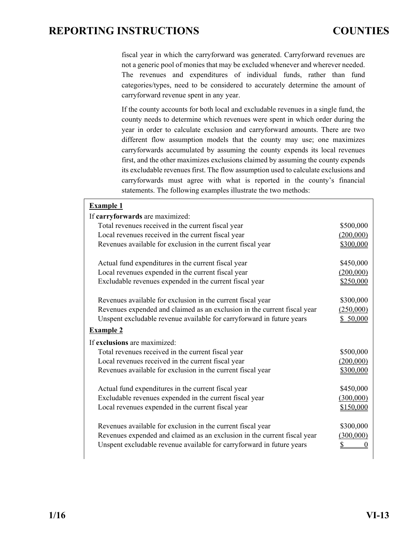fiscal year in which the carryforward was generated. Carryforward revenues are not a generic pool of monies that may be excluded whenever and wherever needed. The revenues and expenditures of individual funds, rather than fund categories/types, need to be considered to accurately determine the amount of carryforward revenue spent in any year.

If the county accounts for both local and excludable revenues in a single fund, the county needs to determine which revenues were spent in which order during the year in order to calculate exclusion and carryforward amounts. There are two different flow assumption models that the county may use; one maximizes carryforwards accumulated by assuming the county expends its local revenues first, and the other maximizes exclusions claimed by assuming the county expends its excludable revenues first. The flow assumption used to calculate exclusions and carryforwards must agree with what is reported in the county's financial statements. The following examples illustrate the two methods:

| <b>Example 1</b>                                                         |                       |
|--------------------------------------------------------------------------|-----------------------|
| If carryforwards are maximized:                                          |                       |
| Total revenues received in the current fiscal year                       | \$500,000             |
| Local revenues received in the current fiscal year                       | (200,000)             |
| Revenues available for exclusion in the current fiscal year              | \$300,000             |
| Actual fund expenditures in the current fiscal year                      | \$450,000             |
| Local revenues expended in the current fiscal year                       | (200,000)             |
| Excludable revenues expended in the current fiscal year                  | \$250,000             |
| Revenues available for exclusion in the current fiscal year              | \$300,000             |
| Revenues expended and claimed as an exclusion in the current fiscal year |                       |
| Unspent excludable revenue available for carryforward in future years    | (250,000)<br>\$50,000 |
|                                                                          |                       |
| <b>Example 2</b>                                                         |                       |
| If exclusions are maximized:                                             |                       |
| Total revenues received in the current fiscal year                       | \$500,000             |
| Local revenues received in the current fiscal year                       | (200,000)             |
| Revenues available for exclusion in the current fiscal year              | \$300,000             |
| Actual fund expenditures in the current fiscal year                      | \$450,000             |
| Excludable revenues expended in the current fiscal year                  | (300,000)             |
| Local revenues expended in the current fiscal year                       | \$150,000             |
|                                                                          |                       |
| Revenues available for exclusion in the current fiscal year              | \$300,000             |
| Revenues expended and claimed as an exclusion in the current fiscal year | (300,000)             |
| Unspent excludable revenue available for carryforward in future years    | <u>\$</u><br>0        |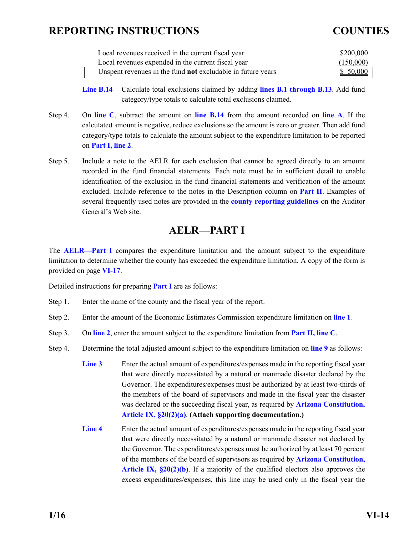<span id="page-28-0"></span>

| Local revenues received in the current fiscal year                 | \$200,000 |
|--------------------------------------------------------------------|-----------|
| Local revenues expended in the current fiscal year                 | (150,000) |
| Unspent revenues in the fund <b>not</b> excludable in future years | \$50,000  |

**[Line B.14](#page-32-0)** Calculate total exclusions claimed by adding **[lines B.1 through B.13](#page-32-0)**. Add fund category/type totals to calculate total exclusions claimed.

- Step 4. On **line C**, subtract the amount on **[line B.14](#page-32-0)** from the amount recorded on **[line A](#page-32-0)**. If the cal[culated a](#page-32-0)mount is negative, reduce exclusions so the amount is zero or greater. Then add fund category/type totals to calculate the amount subject to the expenditure limitation to be reported on **Part I, line 2**.
- Step 5. Include a note to the AELR for each exclusion that cannot be agreed directly to an amount recorded in the fund financial statements. Each note must be in sufficient detail to enable identification of the exclusion in the fund financial statements and verification of the amount excluded. Include reference to the notes in the Description column on **[Part II](#page-32-0)**. Examples of several frequently used notes are provided in the **[county reporting guidelines](http://www.azauditor.gov/reporting-guidelines-0)** on the Auditor General's Web site.

### **AELR—PART I**

The **[AELR—Part I](#page-31-0)** compares the expenditure limitation and the amount subject to the expenditure limitation to determine whether the county has exceeded the expenditure limitation. A copy of the form is provided on page **[VI-17](#page-31-0)**.

Detailed instructions for preparing **[Part I](#page-31-0)** are as follows:

- Step 1. Enter the name of the county and the fiscal year of the report.
- Step 2. Enter the amount of the Economic Estimates Commission expenditure limitation on **[line 1](#page-31-0)**.
- Step 3. On **[line 2](#page-31-0)**, enter the amount subject to the expenditure limitation from **[Part II, line C](#page-32-0)**.
- Step 4. Determine the total adjusted amount subject to the expenditure limitation on **[line 9](#page-31-0)** as follows:
	- **[Line 3](#page-31-0)** Enter the actual amount of expenditures/expenses made in the reporting fiscal year that were directly necessitated by a natural or manmade disaster declared by the Governor. The expenditures/expenses must be authorized by at least two-thirds of the members of the board of supervisors and made in the fiscal year the disaster was declared or the succeeding fiscal year, as required by **[Arizona Constitution,](http://www.azleg.gov/FormatDocument.asp?inDoc=/const/9/20.htm)  [Article IX, §20\(2\)\(a\)](http://www.azleg.gov/FormatDocument.asp?inDoc=/const/9/20.htm)**. **(Attach supporting documentation.)**
	- **[Line 4](#page-31-0)** Enter the actual amount of expenditures/expenses made in the reporting fiscal year that were directly necessitated by a natural or manmade disaster not declared by the Governor. The expenditures/expenses must be authorized by at least 70 percent of the members of the board of supervisors as required by **[Arizona Constitution,](http://www.azleg.gov/FormatDocument.asp?inDoc=/const/9/20.htm)  [Article IX, §20\(2\)\(b\)](http://www.azleg.gov/FormatDocument.asp?inDoc=/const/9/20.htm)**. If a majority of the qualified electors also approves the excess expenditures/expenses, this line may be used only in the fiscal year the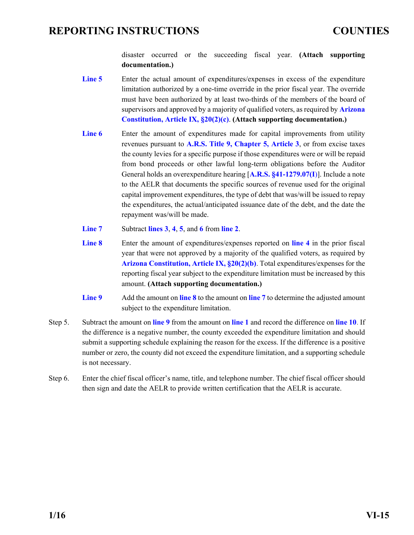disaster occurred or the succeeding fiscal year. **(Attach supporting documentation.)**

- <span id="page-29-0"></span>[Line 5](#page-31-0) Enter the actual amount of expenditures/expenses in excess of the expenditure limitation authorized by a one-time override in the prior fiscal year. The override must have been authorized by at least two-thirds of the members of the board of supervisors and approved by a majority of qualified voters, as required by **[Arizona](http://www.azleg.gov/FormatDocument.asp?inDoc=/const/9/20.htm)  [Constitution, Article IX, §20\(2\)\(c\)](http://www.azleg.gov/FormatDocument.asp?inDoc=/const/9/20.htm)**. **(Attach supporting documentation.)**
- [Line 6](#page-31-0) Enter the amount of expenditures made for capital improvements from utility revenues pursuant to **A.R.S. [Title 9, Chapter 5, Article 3](http://www.azleg.gov/ArizonaRevisedStatutes.asp?Title=9)**, or from excise taxes the county levies for a specific purpose if those expenditures were or will be repaid from bond proceeds or other lawful long-term obligations before the Auditor General holds an overexpenditure hearing [**[A.R.S. §41-1279.07\(I](http://www.azleg.gov/FormatDocument.asp?inDoc=/ars/41/01279-07.htm&Title=41&DocType=ARS)**)]. Include a note to the AELR that documents the specific sources of revenue used for the original capital improvement expenditures, the type of debt that was/will be issued to repay the expenditures, the actual/anticipated issuance date of the debt, and the date the repayment was/will be made.
- **[Line 7](#page-31-0)** Subtract **[lines 3](#page-31-0)**, **4**, **5**, and **[6](#page-31-0)** from **[line 2](#page-31-0)**.
- **[Line 8](#page-31-0)** Enter the amount of expenditures/expenses reported on **[line 4](#page-31-0)** in the prior fiscal year that were not approved by a majority of the qualified voters, as required by **[Arizona Constitution, Article IX, §20\(2\)\(b\)](http://www.azleg.gov/FormatDocument.asp?inDoc=/const/9/20.htm)**. Total expenditures/expenses for the reporting fiscal year subject to the expenditure limitation must be increased by this amount. **(Attach supporting documentation.)**
- **[Line 9](#page-31-0)** Add the amount on **[line 8](#page-31-0)** to the amount on **[line 7](#page-31-0)** to determine the adjusted amount subject to the expenditure limitation.
- Step 5. Subtract the amount on **[line 9](#page-31-0)** from the amount on **[line 1](#page-31-0)** and record the difference on **[line 10](#page-31-0)**. If the difference is a negative number, the county exceeded the expenditure limitation and should submit a supporting schedule explaining the reason for the excess. If the difference is a positive number or zero, the county did not exceed the expenditure limitation, and a supporting schedule is not necessary.
- Step 6. Enter the chief fiscal officer's name, title, and telephone number. The chief fiscal officer should then sign and date the AELR to provide written certification that the AELR is accurate.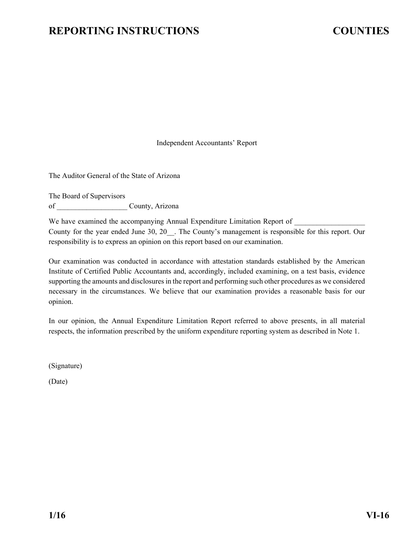Independent Accountants' Report

<span id="page-30-0"></span>The Auditor General of the State of Arizona

The Board of Supervisors of County, Arizona

We have examined the accompanying Annual Expenditure Limitation Report of County for the year ended June 30, 20 . The County's management is responsible for this report. Our responsibility is to express an opinion on this report based on our examination.

Our examination was conducted in accordance with attestation standards established by the American Institute of Certified Public Accountants and, accordingly, included examining, on a test basis, evidence supporting the amounts and disclosures in the report and performing such other procedures as we considered necessary in the circumstances. We believe that our examination provides a reasonable basis for our opinion.

In our opinion, the Annual Expenditure Limitation Report referred to above presents, in all material respects, the information prescribed by the uniform expenditure reporting system as described in Note 1.

(Signature)

(Date)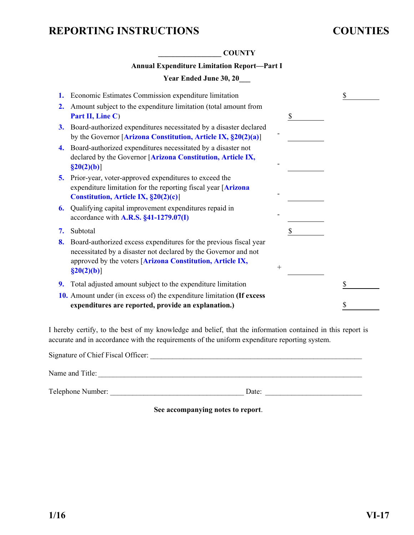<span id="page-31-0"></span>

|           | <b>COUNTY</b>                                                                                                                                                                                                       |                    |    |
|-----------|---------------------------------------------------------------------------------------------------------------------------------------------------------------------------------------------------------------------|--------------------|----|
|           | <b>Annual Expenditure Limitation Report-Part I</b>                                                                                                                                                                  |                    |    |
|           | Year Ended June 30, 20                                                                                                                                                                                              |                    |    |
| 1.        | Economic Estimates Commission expenditure limitation                                                                                                                                                                |                    | S  |
| 2.        | Amount subject to the expenditure limitation (total amount from<br>Part II, Line C)                                                                                                                                 |                    | \$ |
| <b>3.</b> | Board-authorized expenditures necessitated by a disaster declared<br>by the Governor [Arizona Constitution, Article IX, §20(2)(a)]                                                                                  |                    |    |
| 4.        | Board-authorized expenditures necessitated by a disaster not<br>declared by the Governor [Arizona Constitution, Article IX,<br>$\S20(2)(b)$ ]                                                                       |                    |    |
| 5.        | Prior-year, voter-approved expenditures to exceed the<br>expenditure limitation for the reporting fiscal year [Arizona]<br>Constitution, Article IX, §20(2)(c)]                                                     |                    |    |
| 6.        | Qualifying capital improvement expenditures repaid in<br>accordance with A.R.S. §41-1279.07(I)                                                                                                                      |                    |    |
| 7.        | Subtotal                                                                                                                                                                                                            |                    | \$ |
| 8.        | Board-authorized excess expenditures for the previous fiscal year<br>necessitated by a disaster not declared by the Governor and not<br>approved by the voters [Arizona Constitution, Article IX,<br>$\S20(2)(b)$ ] | $\hspace{0.1mm} +$ |    |
| 9.        | Total adjusted amount subject to the expenditure limitation                                                                                                                                                         |                    | \$ |
|           | 10. Amount under (in excess of) the expenditure limitation (If excess<br>expenditures are reported, provide an explanation.)                                                                                        |                    |    |

I hereby certify, to the best of my knowledge and belief, that the information contained in this report is accurate and in accordance with the requirements of the uniform expenditure reporting system.

| Signature of Chief Fiscal Officer: |       |
|------------------------------------|-------|
| Name and Title:                    |       |
| Telephone Number:                  | Date: |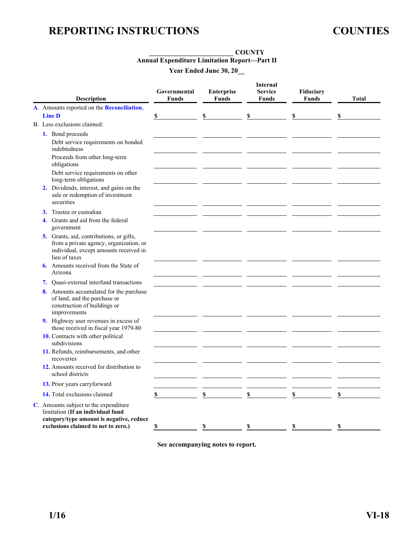#### **\_\_\_\_\_\_\_\_\_\_\_\_\_\_\_\_\_\_\_\_\_\_\_\_\_ COUNTY Annual Expenditure Limitation Report—Part II Year Ended June 30, 20\_\_**

<span id="page-32-0"></span>

| <b>Description</b>                                                                                                                                            | Governmental<br><b>Funds</b> | <b>Enterprise</b><br><b>Funds</b> | <b>Internal</b><br><b>Service</b><br><b>Funds</b> | Fiduciary<br><b>Funds</b> | Total |
|---------------------------------------------------------------------------------------------------------------------------------------------------------------|------------------------------|-----------------------------------|---------------------------------------------------|---------------------------|-------|
| A. Amounts reported on the Reconciliation,                                                                                                                    |                              |                                   |                                                   |                           |       |
| <b>Line D</b>                                                                                                                                                 | \$                           | S                                 | \$                                                | \$                        | S     |
| B. Less exclusions claimed:                                                                                                                                   |                              |                                   |                                                   |                           |       |
| 1. Bond proceeds<br>Debt service requirements on bonded<br>indebtedness<br>Proceeds from other long-term<br>obligations                                       |                              |                                   |                                                   |                           |       |
| Debt service requirements on other<br>long-term obligations                                                                                                   |                              |                                   |                                                   |                           |       |
| 2. Dividends, interest, and gains on the<br>sale or redemption of investment<br>securities                                                                    |                              |                                   |                                                   |                           |       |
| Trustee or custodian<br>3.                                                                                                                                    |                              |                                   |                                                   |                           |       |
| 4. Grants and aid from the federal<br>government                                                                                                              |                              |                                   |                                                   |                           |       |
| 5. Grants, aid, contributions, or gifts,<br>from a private agency, organization, or<br>individual, except amounts received in<br>lieu of taxes                |                              |                                   |                                                   |                           |       |
| <b>6.</b> Amounts received from the State of<br>Arizona                                                                                                       |                              |                                   |                                                   |                           |       |
| 7. Ouasi-external interfund transactions                                                                                                                      |                              |                                   |                                                   |                           |       |
| 8. Amounts accumulated for the purchase<br>of land, and the purchase or<br>construction of buildings or<br>improvements                                       |                              |                                   |                                                   |                           |       |
| 9. Highway user revenues in excess of<br>those received in fiscal year 1979-80                                                                                |                              |                                   |                                                   |                           |       |
| 10. Contracts with other political<br>subdivisions                                                                                                            |                              |                                   |                                                   |                           |       |
| 11. Refunds, reimbursements, and other<br>recoveries                                                                                                          |                              |                                   |                                                   |                           |       |
| 12. Amounts received for distribution to<br>school districts                                                                                                  |                              |                                   |                                                   |                           |       |
| 13. Prior years carryforward                                                                                                                                  |                              |                                   |                                                   |                           |       |
| 14. Total exclusions claimed                                                                                                                                  | \$                           | \$                                | \$                                                | \$                        | \$    |
| C. Amounts subject to the expenditure<br>limitation (If an individual fund<br>category/type amount is negative, reduce<br>exclusions claimed to net to zero.) | S                            | \$                                | $\mathbb S$                                       | \$                        | \$    |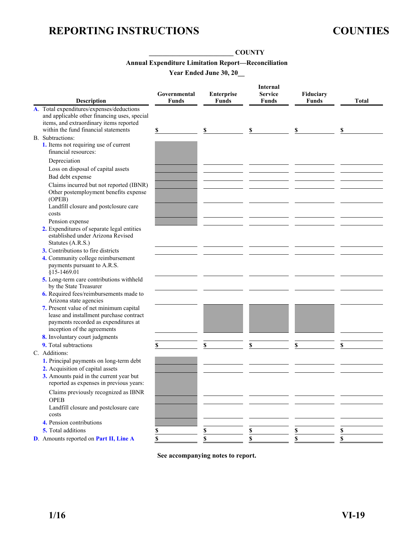#### **\_\_\_\_\_\_\_\_\_\_\_\_\_\_\_\_\_\_\_\_\_\_\_\_\_ COUNTY**

#### **Annual Expenditure Limitation Report—Reconciliation**

**Year Ended June 30, 20\_\_** 

<span id="page-33-0"></span>

|                                                                                                                                                                              | Governmental | Enterprise   | <b>Internal</b><br><b>Service</b> | Fiduciary    |              |
|------------------------------------------------------------------------------------------------------------------------------------------------------------------------------|--------------|--------------|-----------------------------------|--------------|--------------|
| <b>Description</b>                                                                                                                                                           | <b>Funds</b> | <b>Funds</b> | <b>Funds</b>                      | <b>Funds</b> | <b>Total</b> |
| A. Total expenditures/expenses/deductions<br>and applicable other financing uses, special<br>items, and extraordinary items reported<br>within the fund financial statements | \$           | \$           | \$                                | \$           | \$           |
| B. Subtractions:                                                                                                                                                             |              |              |                                   |              |              |
| 1. Items not requiring use of current<br>financial resources:                                                                                                                |              |              |                                   |              |              |
| Depreciation                                                                                                                                                                 |              |              |                                   |              |              |
| Loss on disposal of capital assets                                                                                                                                           |              |              |                                   |              |              |
| Bad debt expense                                                                                                                                                             |              |              |                                   |              |              |
| Claims incurred but not reported (IBNR)<br>Other postemployment benefits expense<br>(OPEB)                                                                                   |              |              |                                   |              |              |
| Landfill closure and postclosure care<br>costs                                                                                                                               |              |              |                                   |              |              |
| Pension expense                                                                                                                                                              |              |              |                                   |              |              |
| 2. Expenditures of separate legal entities                                                                                                                                   |              |              |                                   |              |              |
| established under Arizona Revised<br>Statutes (A.R.S.)                                                                                                                       |              |              |                                   |              |              |
| 3. Contributions to fire districts                                                                                                                                           |              |              |                                   |              |              |
| 4. Community college reimbursement<br>payments pursuant to A.R.S.<br>§15-1469.01                                                                                             |              |              |                                   |              |              |
| 5. Long-term care contributions withheld                                                                                                                                     |              |              |                                   |              |              |
| by the State Treasurer                                                                                                                                                       |              |              |                                   |              |              |
| 6. Required fees/reimbursements made to<br>Arizona state agencies                                                                                                            |              |              |                                   |              |              |
| 7. Present value of net minimum capital<br>lease and installment purchase contract<br>payments recorded as expenditures at<br>inception of the agreements                    |              |              |                                   |              |              |
| 8. Involuntary court judgments                                                                                                                                               |              |              |                                   |              |              |
| 9. Total subtractions                                                                                                                                                        | \$           | \$           | \$                                | \$           | \$           |
| C. Additions:                                                                                                                                                                |              |              |                                   |              |              |
| 1. Principal payments on long-term debt                                                                                                                                      |              |              |                                   |              |              |
| 2. Acquisition of capital assets                                                                                                                                             |              |              |                                   |              |              |
| 3. Amounts paid in the current year but<br>reported as expenses in previous years:                                                                                           |              |              |                                   |              |              |
| Claims previously recognized as IBNR<br><b>OPEB</b>                                                                                                                          |              |              |                                   |              |              |
| Landfill closure and postclosure care<br>costs                                                                                                                               |              |              |                                   |              |              |
| 4. Pension contributions                                                                                                                                                     |              |              |                                   |              |              |
| 5. Total additions                                                                                                                                                           | \$           |              | \$                                | \$           | \$           |
| D. Amounts reported on Part II, Line A                                                                                                                                       | \$           |              | \$                                |              | \$           |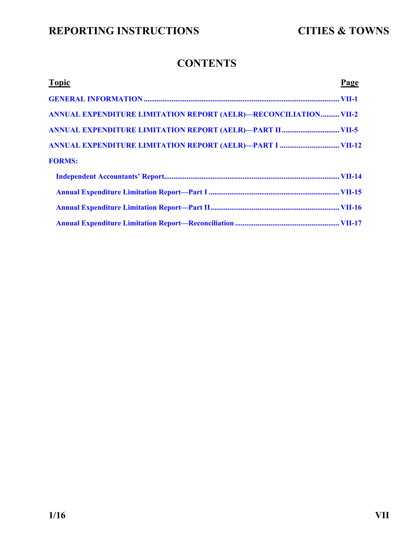### **CONTENTS**

<span id="page-34-0"></span>

| <b>Topic</b>                                                            | Page |
|-------------------------------------------------------------------------|------|
|                                                                         |      |
| <b>ANNUAL EXPENDITURE LIMITATION REPORT (AELR)-RECONCILIATION VII-2</b> |      |
|                                                                         |      |
|                                                                         |      |
| <b>FORMS:</b>                                                           |      |
|                                                                         |      |
|                                                                         |      |
|                                                                         |      |
|                                                                         |      |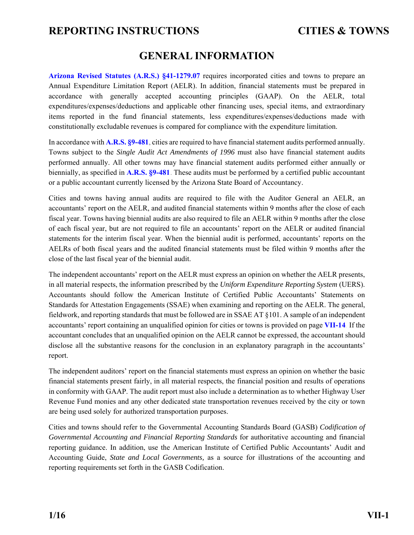### **GENERAL INFORMATION**

<span id="page-35-0"></span>**[Arizona Revised Statutes \(A.R.S.\) §41-1279.07](http://www.azleg.gov/FormatDocument.asp?inDoc=/ars/41/01279-07.htm&Title=41&DocType=ARS)** requires incorporated cities and towns to prepare an Annual Expenditure Limitation Report (AELR). In addition, financial statements must be prepared in accordance with generally accepted accounting principles (GAAP). On the AELR, total expenditures/expenses/deductions and applicable other financing uses, special items, and extraordinary items reported in the fund financial statements, less expenditures/expenses/deductions made with constitutionally excludable revenues is compared for compliance with the expenditure limitation.

In accordance with **[A.R.S. §9-481](http://www.azleg.gov/FormatDocument.asp?inDoc=/ars/9/00481.htm&Title=9&DocType=ARS)**, cities are required to have financial statement audits performed annually. Towns subject to the *Single Audit Act Amendments of 1996* must also have financial statement audits performed annually. All other towns may have financial statement audits performed either annually or biennially, as specified in **[A.R.S. §9-481](http://www.azleg.gov/FormatDocument.asp?inDoc=/ars/9/00481.htm&Title=9&DocType=ARS)**. These audits must be performed by a certified public accountant or a public accountant currently licensed by the Arizona State Board of Accountancy.

Cities and towns having annual audits are required to file with the Auditor General an AELR, an accountants' report on the AELR, and audited financial statements within 9 months after the close of each fiscal year. Towns having biennial audits are also required to file an AELR within 9 months after the close of each fiscal year, but are not required to file an accountants' report on the AELR or audited financial statements for the interim fiscal year. When the biennial audit is performed, accountants' reports on the AELRs of both fiscal years and the audited financial statements must be filed within 9 months after the close of the last fiscal year of the biennial audit.

The independent accountants' report on the AELR must express an opinion on whether the AELR presents, in all material respects, the information prescribed by the *Uniform Expenditure Reporting System* (UERS). Accountants should follow the American Institute of Certified Public Accountants' Statements on Standards for Attestation Engagements (SSAE) when examining and reporting on the AELR. The general, fieldwork, and reporting standards that must be followed are in SSAE AT §101. A sample of an independent accountants' report containing an unqualified opinion for cities or towns is provided on page **[VII-14](#page-48-0)**. If the accountant concludes that an unqualified opinion on the AELR cannot be expressed, the accountant should disclose all the substantive reasons for the conclusion in an explanatory paragraph in the accountants' report.

The independent auditors' report on the financial statements must express an opinion on whether the basic financial statements present fairly, in all material respects, the financial position and results of operations in conformity with GAAP. The audit report must also include a determination as to whether Highway User Revenue Fund monies and any other dedicated state transportation revenues received by the city or town are being used solely for authorized transportation purposes.

Cities and towns should refer to the Governmental Accounting Standards Board (GASB) *Codification of Governmental Accounting and Financial Reporting Standards* for authoritative accounting and financial reporting guidance. In addition, use the American Institute of Certified Public Accountants' Audit and Accounting Guide, *State and Local Governments,* as a source for illustrations of the accounting and reporting requirements set forth in the GASB Codification.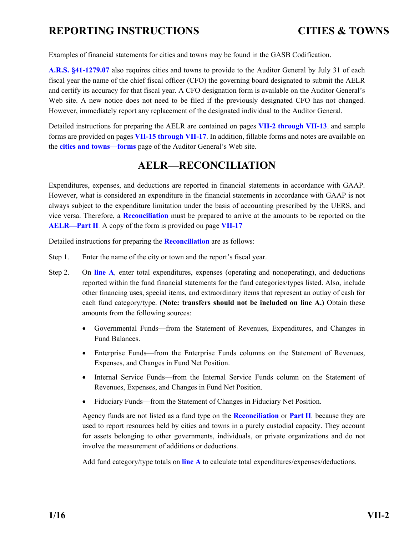<span id="page-36-0"></span>Examples of financial statements for cities and towns may be found in the GASB Codification.

**[A.R.S. §41-1279.07](http://www.azleg.gov/FormatDocument.asp?inDoc=/ars/41/01279-07.htm&Title=41&DocType=ARS)** also requires cities and towns to provide to the Auditor General by July 31 of each fiscal year the name of the chief fiscal officer (CFO) the governing board designated to submit the AELR and certify its accuracy for that fiscal year. A CFO designation form is available on the Auditor General's Web site. A new notice does not need to be filed if the previously designated CFO has not changed. However, immediately report any replacement of the designated individual to the Auditor General.

Detailed instructions for preparing the AELR are contained on pages **VII-2 through VII-13**, and sample forms are provided on pages **[VII-15 through VII-17](#page-49-0)**. In addition, fillable forms and notes are available on the **[cities and towns—forms](http://www.azauditor.gov/reports-publications/cities-and-towns/forms)** page of the Auditor General's Web site.

### **AELR—RECONCILIATION**

Expenditures, expenses, and deductions are reported in financial statements in accordance with GAAP. However, what is considered an expenditure in the financial statements in accordance with GAAP is not always subject to the expenditure limitation under the basis of accounting prescribed by the UERS, and vice versa. Therefore, a **[Reconciliation](#page-51-0)** must be prepared to arrive at the amounts to be reported on the **[AELR—Part II](#page-50-0)**. A copy of the form is provided on page **[VII-17](#page-51-0)**.

Detailed instructions for preparing the **[Reconciliation](#page-51-0)** are as follows:

- Step 1. Enter the name of the city or town and the report's fiscal year.
- Step 2. On **[line A](#page-51-0)**, enter total expenditures, expenses (operating and nonoperating), and deductions reported within the fund financial statements for the fund categories/types listed. Also, include other financing uses, special items, and extraordinary items that represent an outlay of cash for each fund category/type. **(Note: transfers should not be included on line A.)** Obtain these amounts from the following sources:
	- Governmental Funds—from the Statement of Revenues, Expenditures, and Changes in Fund Balances.
	- Enterprise Funds—from the Enterprise Funds columns on the Statement of Revenues, Expenses, and Changes in Fund Net Position.
	- Internal Service Funds—from the Internal Service Funds column on the Statement of Revenues, Expenses, and Changes in Fund Net Position.
	- Fiduciary Funds—from the Statement of Changes in Fiduciary Net Position.

Agency funds are not listed as a fund type on the **[Reconciliation](#page-51-0)** or **[Part II](#page-50-0)**, because they are used to report resources held by cities and towns in a purely custodial capacity. They account for assets belonging to other governments, individuals, or private organizations and do not involve the measurement of additions or deductions.

Add fund category/type totals on **[line A](#page-51-0)** to calculate total expenditures/expenses/deductions.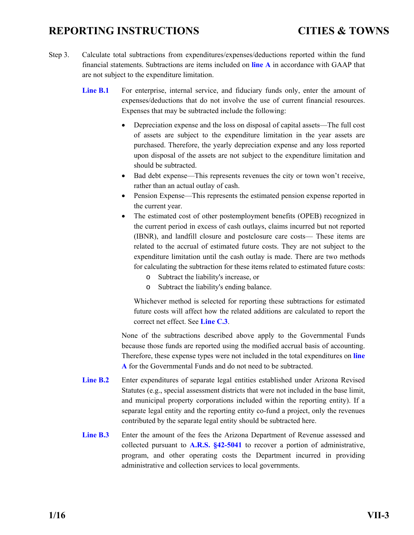- <span id="page-37-0"></span>Step 3. Calculate total subtractions from expenditures/expenses/deductions reported within the fund financial statements. Subtractions are items included on **[line A](#page-51-0)** in accordance with GAAP that are not subject to the expenditure limitation.
	- Line **B.1** For enterprise, internal service, and fiduciary funds only, enter the amount of expenses/deductions that do not involve the use of current financial resources. Expenses that may be subtracted include the following:
		- Depreciation expense and the loss on disposal of capital assets—The full cost of assets are subject to the expenditure limitation in the year assets are purchased. Therefore, the yearly depreciation expense and any loss reported upon disposal of the assets are not subject to the expenditure limitation and should be subtracted.
		- Bad debt expense—This represents revenues the city or town won't receive, rather than an actual outlay of cash.
		- Pension Expense—This represents the estimated pension expense reported in the current year.
		- The estimated cost of other postemployment benefits (OPEB) recognized in the current period in excess of cash outlays, claims incurred but not reported (IBNR), and landfill closure and postclosure care costs— These items are related to the accrual of estimated future costs. They are not subject to the expenditure limitation until the cash outlay is made. There are two methods for calculating the subtraction for these items related to estimated future costs:
			- o Subtract the liability's increase, or
			- o Subtract the liability's ending balance.

Whichever method is selected for reporting these subtractions for estimated future costs will affect how the related additions are calculated to report the correct net effect. See **[Line C.3](#page-38-0)**.

None of the subtractions described above apply to the Governmental Funds because those funds are reported using the modified accrual basis of accounting. Therefore, these expense types were not included in the total expenditures on **[line](#page-51-0)  [A](#page-51-0)** for the Governmental Funds and do not need to be subtracted.

- **[Line B.2](#page-51-0)** Enter expenditures of separate legal entities established under Arizona Revised Statutes (e.g., special assessment districts that were not included in the base limit, and municipal property corporations included within the reporting entity). If a separate legal entity and the reporting entity co-fund a project, only the revenues contributed by the separate legal entity should be subtracted here.
- [Line B.3](#page-51-0) Enter the amount of the fees the Arizona Department of Revenue assessed and collected pursuant to **[A.R.S. §42-5041](http://www.azleg.gov/FormatDocument.asp?inDoc=/ars/42/05041.htm&Title=42&DocType=ARS)** to recover a portion of administrative, program, and other operating costs the Department incurred in providing administrative and collection services to local governments.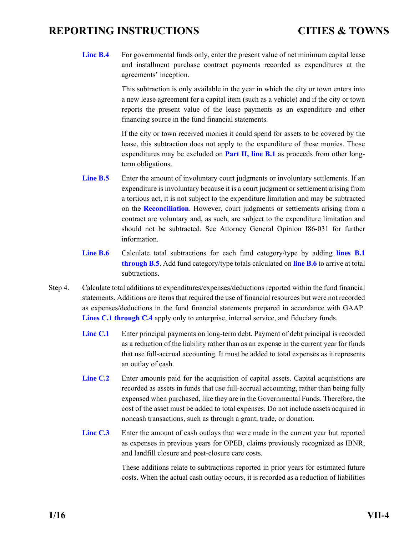<span id="page-38-0"></span>Line **B.4** For governmental funds only, enter the present value of net minimum capital lease and installment purchase contract payments recorded as expenditures at the agreements' inception.

> This subtraction is only available in the year in which the city or town enters into a new lease agreement for a capital item (such as a vehicle) and if the city or town reports the present value of the lease payments as an expenditure and other financing source in the fund financial statements.

> If the city or town received monies it could spend for assets to be covered by the lease, this subtraction does not apply to the expenditure of these monies. Those expenditures may be excluded on **[Part II, line B.1](#page-40-0)** as proceeds from other longterm obligations.

- Line **B.5** Enter the amount of involuntary court judgments or involuntary settlements. If an expenditure is involuntary because it is a court judgment or settlement arising from a tortious act, it is not subject to the expenditure limitation and may be subtracted on the **[Reconciliation](#page-51-0)**. However, court judgments or settlements arising from a contract are voluntary and, as such, are subject to the expenditure limitation and should not be subtracted. See Attorney General Opinion I86-031 for further information.
- **[Line B.6](#page-51-0)** Calculate total subtractions for each fund category/type by adding **[lines B.1](#page-51-0)  [through B.5](#page-51-0)**. Add fund category/type totals calculated on **[line B.6](#page-51-0)** to arrive at total subtractions.
- Step 4. Calculate total additions to expenditures/expenses/deductions reported within the fund financial statements. Additions are items that required the use of financial resources but were not recorded as expenses/deductions in the fund financial statements prepared in accordance with GAAP. **[Lines C.1 through C.4](#page-51-0)** apply only to enterprise, internal service, and fiduciary funds.
	- [Line C.1](#page-51-0) Enter principal payments on long-term debt. Payment of debt principal is recorded as a reduction of the liability rather than as an expense in the current year for funds that use full-accrual accounting. It must be added to total expenses as it represents an outlay of cash.
	- [Line C.2](#page-51-0) Enter amounts paid for the acquisition of capital assets. Capital acquisitions are recorded as assets in funds that use full-accrual accounting, rather than being fully expensed when purchased, like they are in the Governmental Funds. Therefore, the cost of the asset must be added to total expenses. Do not include assets acquired in noncash transactions, such as through a grant, trade, or donation.
	- **[Line C.3](#page-51-0)** Enter the amount of cash outlays that were made in the current year but reported as expenses in previous years for OPEB, claims previously recognized as IBNR, and landfill closure and post-closure care costs.

These additions relate to subtractions reported in prior years for estimated future costs. When the actual cash outlay occurs, it is recorded as a reduction of liabilities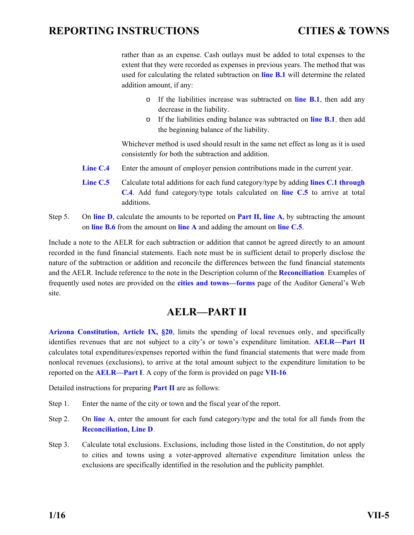<span id="page-39-0"></span>rather than as an expense. Cash outlays must be added to total expenses to the extent that they were recorded as expenses in previous years. The method that was used for calculating the related subtraction on **[line B.1](#page-37-0)** will determine the related addition amount, if any:

- o If the liabilities increase was subtracted on **[line B.1](#page-37-0)**, then add any decrease in the liability.
- o If the liabilities ending balance was subtracted on **[line B.1](#page-37-0)**, then add the beginning balance of the liability.

Whichever method is used should result in the same net effect as long as it is used consistently for both the subtraction and addition.

- **Line C.4** Enter the amount of employer pension contributions made in the current year.
- **[Line C.5](#page-51-0)** Calculate total additions for each fund category/type by adding **[lines C.1 through](#page-51-0)  [C.4](#page-51-0)**. Add fund category/type totals calculated on **[line C.5](#page-51-0)** to arrive at total additions.
- Step 5. On **[line D](#page-51-0)**, calculate the amounts to be reported on **[Part II, line A](#page-50-0)**, by subtracting the amount on **[line B.6](#page-51-0)** from the amount on **[line A](#page-51-0)** and adding the amount on **[line C.5](#page-51-0)**.

Include a note to the AELR for each subtraction or addition that cannot be agreed directly to an amount recorded in the fund financial statements. Each note must be in sufficient detail to properly disclose the nature of the subtraction or addition and reconcile the differences between the fund financial statements and the AELR. Include reference to the note in the Description column of the **[Reconciliation](#page-51-0)**. Examples of frequently used notes are provided on the **[cities and towns—forms](http://www.azauditor.gov/reports-publications/cities-and-towns/forms)** page of the Auditor General's Web site.

### **AELR—PART II**

**[Arizona Constitution, Article IX, §20](http://www.azleg.gov/FormatDocument.asp?inDoc=/const/9/20.htm)**, limits the spending of local revenues only, and specifically identifies revenues that are not subject to a city's or town's expenditure limitation. **[AELR—Part II](#page-50-0)** calculates total expenditures/expenses reported within the fund financial statements that were made from nonlocal revenues (exclusions), to arrive at the total amount subject to the expenditure limitation to be reported on the **[AELR—Part I](#page-49-0)**. A copy of the form is provided on page **[VII-16](#page-50-0)**.

Detailed instructions for preparing **[Part II](#page-50-0)** are as follows:

- Step 1. Enter the name of the city or town and the fiscal year of the report.
- Step 2. On **[line A](#page-50-0)**, enter the amount for each fund category/type and the total for all funds from the **[Reconciliation, Line D](#page-51-0)**.
- Step 3. Calculate total exclusions. Exclusions, including those listed in the Constitution, do not apply to cities and towns using a voter-approved alternative expenditure limitation unless the exclusions are specifically identified in the resolution and the publicity pamphlet.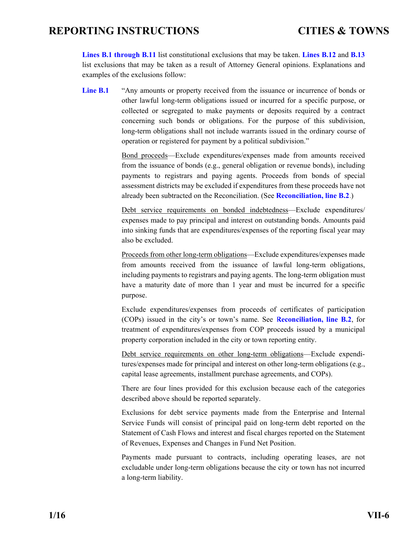<span id="page-40-0"></span>**[Lines B.1 through B.11](#page-50-0)** list constitutional exclusions that may be taken. **[Lines B.12](#page-50-0)** and **[B.13](#page-50-0)** list exclusions that may be taken as a result of Attorney General opinions. Explanations and examples of the exclusions follow:

Line **B.1** "Any amounts or property received from the issuance or incurrence of bonds or other lawful long-term obligations issued or incurred for a specific purpose, or collected or segregated to make payments or deposits required by a contract concerning such bonds or obligations. For the purpose of this subdivision, long-term obligations shall not include warrants issued in the ordinary course of operation or registered for payment by a political subdivision."

> Bond proceeds—Exclude expenditures/expenses made from amounts received from the issuance of bonds (e.g., general obligation or revenue bonds), including payments to registrars and paying agents. Proceeds from bonds of special assessment districts may be excluded if expenditures from these proceeds have not already been subtracted on the Reconciliation. (See **[Reconciliation, line B.2](#page-37-0)**.)

> Debt service requirements on bonded indebtedness—Exclude expenditures/ expenses made to pay principal and interest on outstanding bonds. Amounts paid into sinking funds that are expenditures/expenses of the reporting fiscal year may also be excluded.

> Proceeds from other long-term obligations—Exclude expenditures/expenses made from amounts received from the issuance of lawful long-term obligations, including payments to registrars and paying agents. The long-term obligation must have a maturity date of more than 1 year and must be incurred for a specific purpose.

> Exclude expenditures/expenses from proceeds of certificates of participation (COPs) issued in the city's or town's name. See **[Reconciliation, line B.2](#page-37-0)**, for treatment of expenditures/expenses from COP proceeds issued by a municipal property corporation included in the city or town reporting entity.

> Debt service requirements on other long-term obligations—Exclude expenditures/expenses made for principal and interest on other long-term obligations (e.g., capital lease agreements, installment purchase agreements, and COPs).

> There are four lines provided for this exclusion because each of the categories described above should be reported separately.

> Exclusions for debt service payments made from the Enterprise and Internal Service Funds will consist of principal paid on long-term debt reported on the Statement of Cash Flows and interest and fiscal charges reported on the Statement of Revenues, Expenses and Changes in Fund Net Position.

> Payments made pursuant to contracts, including operating leases, are not excludable under long-term obligations because the city or town has not incurred a long-term liability.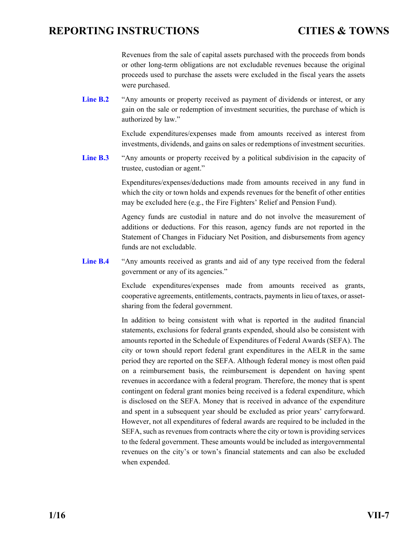Revenues from the sale of capital assets purchased with the proceeds from bonds or other long-term obligations are not excludable revenues because the original proceeds used to purchase the assets were excluded in the fiscal years the assets were purchased.

<span id="page-41-0"></span>Line **B.2** "Any amounts or property received as payment of dividends or interest, or any gain on the sale or redemption of investment securities, the purchase of which is authorized by law."

> Exclude expenditures/expenses made from amounts received as interest from investments, dividends, and gains on sales or redemptions of investment securities.

Line **B.3** "Any amounts or property received by a political subdivision in the capacity of trustee, custodian or agent."

> Expenditures/expenses/deductions made from amounts received in any fund in which the city or town holds and expends revenues for the benefit of other entities may be excluded here (e.g., the Fire Fighters' Relief and Pension Fund).

> Agency funds are custodial in nature and do not involve the measurement of additions or deductions. For this reason, agency funds are not reported in the Statement of Changes in Fiduciary Net Position, and disbursements from agency funds are not excludable.

Line **B.4** "Any amounts received as grants and aid of any type received from the federal government or any of its agencies."

> Exclude expenditures/expenses made from amounts received as grants, cooperative agreements, entitlements, contracts, payments in lieu of taxes, or assetsharing from the federal government.

> In addition to being consistent with what is reported in the audited financial statements, exclusions for federal grants expended, should also be consistent with amounts reported in the Schedule of Expenditures of Federal Awards (SEFA). The city or town should report federal grant expenditures in the AELR in the same period they are reported on the SEFA. Although federal money is most often paid on a reimbursement basis, the reimbursement is dependent on having spent revenues in accordance with a federal program. Therefore, the money that is spent contingent on federal grant monies being received is a federal expenditure, which is disclosed on the SEFA. Money that is received in advance of the expenditure and spent in a subsequent year should be excluded as prior years' carryforward. However, not all expenditures of federal awards are required to be included in the SEFA, such as revenues from contracts where the city or town is providing services to the federal government. These amounts would be included as intergovernmental revenues on the city's or town's financial statements and can also be excluded when expended.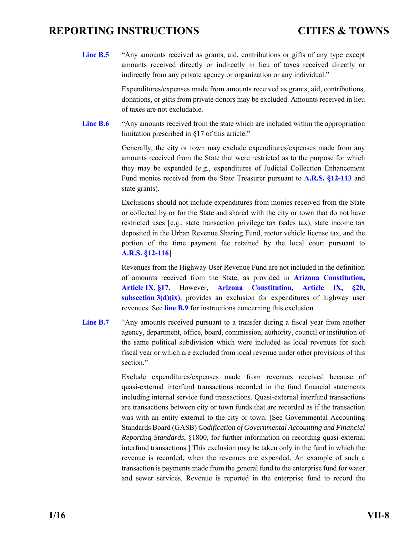<span id="page-42-0"></span>**[Line B.5](#page-50-0)** "Any amounts received as grants, aid, contributions or gifts of any type except amounts received directly or indirectly in lieu of taxes received directly or indirectly from any private agency or organization or any individual."

> Expenditures/expenses made from amounts received as grants, aid, contributions, donations, or gifts from private donors may be excluded. Amounts received in lieu of taxes are not excludable.

**[Line B.6](#page-50-0)** "Any amounts received from the state which are included within the appropriation limitation prescribed in §17 of this article."

> Generally, the city or town may exclude expenditures/expenses made from any amounts received from the State that were restricted as to the purpose for which they may be expended (e.g., expenditures of Judicial Collection Enhancement Fund monies received from the State Treasurer pursuant to **[A.R.S. §12-113](http://www.azleg.gov/FormatDocument.asp?inDoc=/ars/12/00113.htm&Title=12&DocType=ARS)** and state grants).

> Exclusions should not include expenditures from monies received from the State or collected by or for the State and shared with the city or town that do not have restricted uses [e.g., state transaction privilege tax (sales tax), state income tax deposited in the Urban Revenue Sharing Fund, motor vehicle license tax, and the portion of the time payment fee retained by the local court pursuant to **[A.R.S. §12-116](http://www.azleg.gov/FormatDocument.asp?inDoc=/ars/12/00116.htm&Title=12&DocType=ARS)**].

> Revenues from the Highway User Revenue Fund are not included in the definition of amounts received from the State, as provided in **[Arizona Constitution,](http://www.azleg.gov/FormatDocument.asp?inDoc=/const/9/17.htm)  [Article IX, §17](http://www.azleg.gov/FormatDocument.asp?inDoc=/const/9/17.htm)**. However, **[Arizona Constitution, Article IX, §20,](http://www.azleg.gov/FormatDocument.asp?inDoc=/const/9/20.htm)  [subsection 3\(d\)\(ix\)](http://www.azleg.gov/FormatDocument.asp?inDoc=/const/9/20.htm)**, provides an exclusion for expenditures of highway user revenues. See **[line B.9](#page-43-0)** for instructions concerning this exclusion.

Line **B.7** "Any amounts received pursuant to a transfer during a fiscal year from another agency, department, office, board, commission, authority, council or institution of the same political subdivision which were included as local revenues for such fiscal year or which are excluded from local revenue under other provisions of this section."

> Exclude expenditures/expenses made from revenues received because of quasi-external interfund transactions recorded in the fund financial statements including internal service fund transactions. Quasi-external interfund transactions are transactions between city or town funds that are recorded as if the transaction was with an entity external to the city or town. [See Governmental Accounting Standards Board (GASB) *Codification of Governmental Accounting and Financial Reporting Standards*, §1800, for further information on recording quasi-external interfund transactions.] This exclusion may be taken only in the fund in which the revenue is recorded, when the revenues are expended. An example of such a transaction is payments made from the general fund to the enterprise fund for water and sewer services. Revenue is reported in the enterprise fund to record the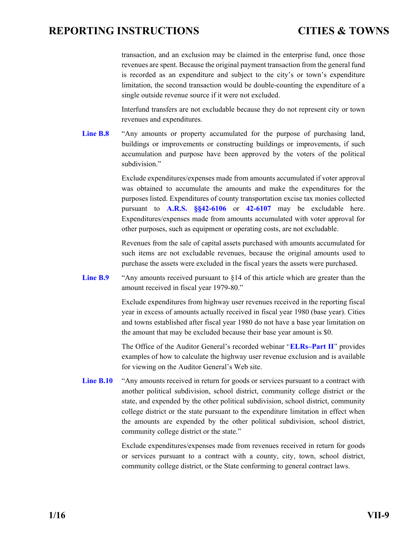<span id="page-43-0"></span>transaction, and an exclusion may be claimed in the enterprise fund, once those revenues are spent. Because the original payment transaction from the general fund is recorded as an expenditure and subject to the city's or town's expenditure limitation, the second transaction would be double-counting the expenditure of a single outside revenue source if it were not excluded.

Interfund transfers are not excludable because they do not represent city or town revenues and expenditures.

Line **B.8** "Any amounts or property accumulated for the purpose of purchasing land, buildings or improvements or constructing buildings or improvements, if such accumulation and purpose have been approved by the voters of the political subdivision."

> Exclude expenditures/expenses made from amounts accumulated if voter approval was obtained to accumulate the amounts and make the expenditures for the purposes listed. Expenditures of county transportation excise tax monies collected pursuant to **[A.R.S. §§42-6106](http://www.azleg.gov/FormatDocument.asp?inDoc=/ars/42/06106.htm&Title=42&DocType=ARS)** or **[42-6107](http://www.azleg.gov/FormatDocument.asp?inDoc=/ars/42/06107.htm&Title=42&DocType=ARS)** may be excludable here. Expenditures/expenses made from amounts accumulated with voter approval for other purposes, such as equipment or operating costs, are not excludable.

> Revenues from the sale of capital assets purchased with amounts accumulated for such items are not excludable revenues, because the original amounts used to purchase the assets were excluded in the fiscal years the assets were purchased.

Line **B.9** "Any amounts received pursuant to §14 of this article which are greater than the amount received in fiscal year 1979-80."

> Exclude expenditures from highway user revenues received in the reporting fiscal year in excess of amounts actually received in fiscal year 1980 (base year). Cities and towns established after fiscal year 1980 do not have a base year limitation on the amount that may be excluded because their base year amount is \$0.

> The Office of the Auditor General's recorded webinar "**[ELRs–Part II](http://www.azauditor.gov/reports-publications/cities-and-towns/webinars)**" provides examples of how to calculate the highway user revenue exclusion and is available for viewing on the Auditor General's Web site.

Line **B.10** "Any amounts received in return for goods or services pursuant to a contract with another political subdivision, school district, community college district or the state, and expended by the other political subdivision, school district, community college district or the state pursuant to the expenditure limitation in effect when the amounts are expended by the other political subdivision, school district, community college district or the state."

> Exclude expenditures/expenses made from revenues received in return for goods or services pursuant to a contract with a county, city, town, school district, community college district, or the State conforming to general contract laws.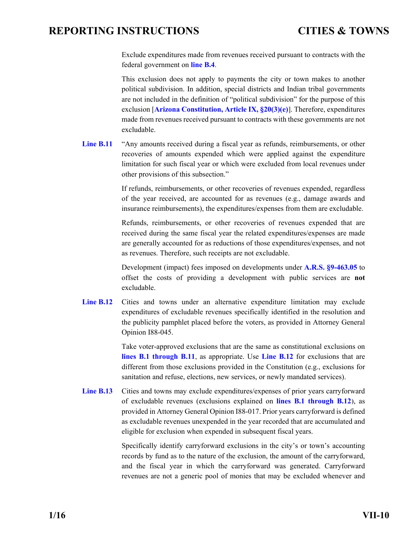<span id="page-44-0"></span>Exclude expenditures made from revenues received pursuant to contracts with the federal government on **[line B.4](#page-41-0)**.

This exclusion does not apply to payments the city or town makes to another political subdivision. In addition, special districts and Indian tribal governments are not included in the definition of "political subdivision" for the purpose of this exclusion [**[Arizona Constitution, Article IX, §20\(3\)\(e\)](http://www.azleg.gov/FormatDocument.asp?inDoc=/const/9/20.htm)**]. Therefore, expenditures made from revenues received pursuant to contracts with these governments are not excludable.

Line **B.11** "Any amounts received during a fiscal year as refunds, reimbursements, or other recoveries of amounts expended which were applied against the expenditure limitation for such fiscal year or which were excluded from local revenues under other provisions of this subsection."

> If refunds, reimbursements, or other recoveries of revenues expended, regardless of the year received, are accounted for as revenues (e.g., damage awards and insurance reimbursements), the expenditures/expenses from them are excludable.

> Refunds, reimbursements, or other recoveries of revenues expended that are received during the same fiscal year the related expenditures/expenses are made are generally accounted for as reductions of those expenditures/expenses, and not as revenues. Therefore, such receipts are not excludable.

> Development (impact) fees imposed on developments under **[A.R.S. §9-463.05](http://www.azleg.gov/FormatDocument.asp?inDoc=/ars/9/00463-05.htm&Title=9&DocType=ARS)** to offset the costs of providing a development with public services are **not** excludable.

Line **B.12** Cities and towns under an alternative expenditure limitation may exclude expenditures of excludable revenues specifically identified in the resolution and the publicity pamphlet placed before the voters, as provided in Attorney General Opinion I88-045.

> Take voter-approved exclusions that are the same as constitutional exclusions on **[lines B.1 through B.11](#page-50-0)**, as appropriate. Use **[Line B.12](#page-50-0)** for exclusions that are different from those exclusions provided in the Constitution (e.g., exclusions for sanitation and refuse, elections, new services, or newly mandated services).

**[Line B.13](#page-50-0)** Cities and towns may exclude expenditures/expenses of prior years carryforward of excludable revenues (exclusions explained on **[lines B.1 through B.12](#page-50-0)**), as provided in Attorney General Opinion I88-017. Prior years carryforward is defined as excludable revenues unexpended in the year recorded that are accumulated and eligible for exclusion when expended in subsequent fiscal years.

> Specifically identify carryforward exclusions in the city's or town's accounting records by fund as to the nature of the exclusion, the amount of the carryforward, and the fiscal year in which the carryforward was generated. Carryforward revenues are not a generic pool of monies that may be excluded whenever and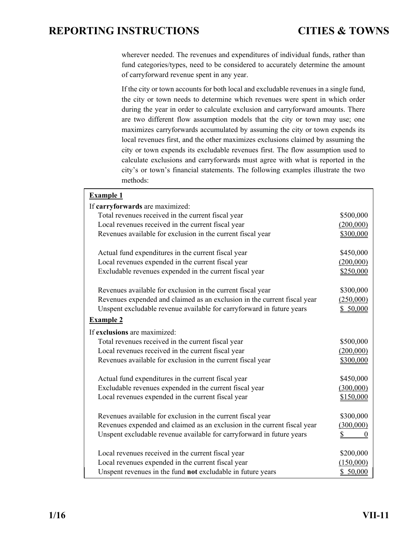wherever needed. The revenues and expenditures of individual funds, rather than fund categories/types, need to be considered to accurately determine the amount of carryforward revenue spent in any year.

If the city or town accounts for both local and excludable revenues in a single fund, the city or town needs to determine which revenues were spent in which order during the year in order to calculate exclusion and carryforward amounts. There are two different flow assumption models that the city or town may use; one maximizes carryforwards accumulated by assuming the city or town expends its local revenues first, and the other maximizes exclusions claimed by assuming the city or town expends its excludable revenues first. The flow assumption used to calculate exclusions and carryforwards must agree with what is reported in the city's or town's financial statements. The following examples illustrate the two methods:

| <b>Example 1</b>                                                         |                      |
|--------------------------------------------------------------------------|----------------------|
| If carryforwards are maximized:                                          |                      |
| Total revenues received in the current fiscal year                       | \$500,000            |
| Local revenues received in the current fiscal year                       | (200,000)            |
| Revenues available for exclusion in the current fiscal year              | \$300,000            |
| Actual fund expenditures in the current fiscal year                      | \$450,000            |
| Local revenues expended in the current fiscal year                       | (200,000)            |
| Excludable revenues expended in the current fiscal year                  | \$250,000            |
| Revenues available for exclusion in the current fiscal year              | \$300,000            |
| Revenues expended and claimed as an exclusion in the current fiscal year | (250,000)            |
| Unspent excludable revenue available for carryforward in future years    | \$50,000             |
| <b>Example 2</b>                                                         |                      |
| If exclusions are maximized:                                             |                      |
| Total revenues received in the current fiscal year                       | \$500,000            |
| Local revenues received in the current fiscal year                       | (200,000)            |
| Revenues available for exclusion in the current fiscal year              | \$300,000            |
| Actual fund expenditures in the current fiscal year                      | \$450,000            |
| Excludable revenues expended in the current fiscal year                  | (300,000)            |
| Local revenues expended in the current fiscal year                       | \$150,000            |
| Revenues available for exclusion in the current fiscal year              | \$300,000            |
| Revenues expended and claimed as an exclusion in the current fiscal year | (300,000)            |
| Unspent excludable revenue available for carryforward in future years    | \$<br>$\overline{0}$ |
| Local revenues received in the current fiscal year                       | \$200,000            |
| Local revenues expended in the current fiscal year                       | (150,000)            |
| Unspent revenues in the fund not excludable in future years              | \$50,000             |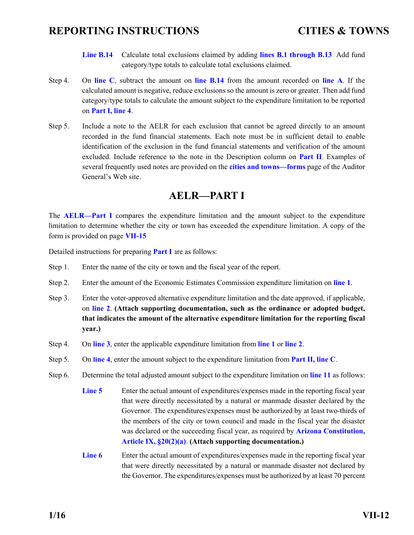- **[Line B.14](#page-50-0)** Calculate total exclusions claimed by adding **[lines B.1 through B.13](#page-50-0)**. Add fund category/type totals to calculate total exclusions claimed.
- <span id="page-46-0"></span>Step 4. On **[line C](#page-50-0)**, subtract the amount on **[line B.14](#page-50-0)** from the amount recorded on **[line A](#page-50-0)**. If the calculated amount is negative, reduce exclusions so the amount is zero or greater. Then add fund category/type totals to calculate the amount subject to the expenditure limitation to be reported on **[Part I, line 4](#page-49-0)**.
- Step 5. Include a note to the AELR for each exclusion that cannot be agreed directly to an amount recorded in the fund financial statements. Each note must be in sufficient detail to enable identification of the exclusion in the fund financial statements and verification of the amount excluded. Include reference to the note in the Description column on **[Part II](#page-50-0)**. Examples of several frequently used notes are provided on the **[cities and towns—forms](http://www.azauditor.gov/reports-publications/cities-and-towns/forms)** page of the Auditor General's Web site.

### **AELR—PART I**

The **[AELR—Part I](#page-49-0)** compares the expenditure limitation and the amount subject to the expenditure limitation to determine whether the city or town has exceeded the expenditure limitation. A copy of the form is provided on page **[VII-15](#page-49-0)**.

Detailed instructions for preparing **[Part I](#page-49-0)** are as follows:

- Step 1. Enter the name of the city or town and the fiscal year of the report.
- Step 2. Enter the amount of the Economic Estimates Commission expenditure limitation on **[line 1](#page-49-0)**.
- Step 3. Enter the voter-approved alternative expenditure limitation and the date approved, if applicable, on **[line 2](#page-49-0)**. **(Attach supporting documentation, such as the ordinance or adopted budget, that indicates the amount of the alternative expenditure limitation for the reporting fiscal year.)**
- Step 4. On **[line 3](#page-49-0)**, enter the applicable expenditure limitation from **[line 1](#page-49-0)** or **[line 2](#page-49-0)**.
- Step 5. On **[line 4](#page-49-0)**, enter the amount subject to the expenditure limitation from **[Part II, line C](#page-50-0)**.
- Step 6. Determine the total adjusted amount subject to the expenditure limitation on **[line 11](#page-49-0)** as follows:
	- **[Line 5](#page-49-0)** Enter the actual amount of expenditures/expenses made in the reporting fiscal year that were directly necessitated by a natural or manmade disaster declared by the Governor. The expenditures/expenses must be authorized by at least two-thirds of the members of the city or town council and made in the fiscal year the disaster was declared or the succeeding fiscal year, as required by **[Arizona Constitution,](http://www.azleg.gov/FormatDocument.asp?inDoc=/const/9/20.htm)  [Article IX, §20\(2\)\(a\)](http://www.azleg.gov/FormatDocument.asp?inDoc=/const/9/20.htm)**. **(Attach supporting documentation.)**
	- **[Line 6](#page-49-0)** Enter the actual amount of expenditures/expenses made in the reporting fiscal year that were directly necessitated by a natural or manmade disaster not declared by the Governor. The expenditures/expenses must be authorized by at least 70 percent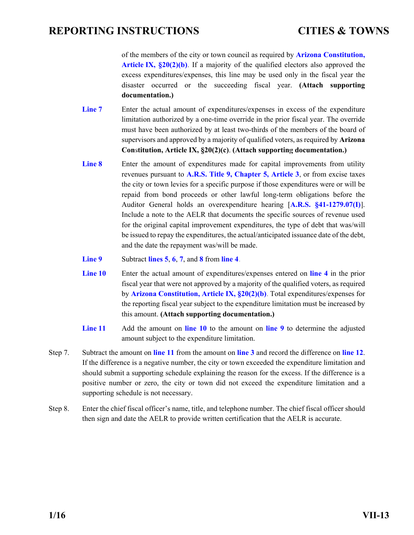<span id="page-47-0"></span>of the members of the city or town council as required by **[Arizona Constitution,](http://www.azleg.gov/FormatDocument.asp?inDoc=/const/9/20.htm)  [Article IX, §20\(2\)\(b\)](http://www.azleg.gov/FormatDocument.asp?inDoc=/const/9/20.htm)**. If a majority of the qualified electors also approved the excess expenditures/expenses, this line may be used only in the fiscal year the disaster occurred or the succeeding fiscal year. **(Attach supporting documentation.)**

- **[Line 7](#page-49-0)** Enter the actual amount of expenditures/expenses in excess of the expenditure limitation authorized by a one-time override in the prior fiscal year. The override must have been authorized by at least two-thirds of the members of the board of supervisors and approved by a majority of qualified voters, as required by **Arizona Con[stitution, Article IX, §20\(2\)\(c\)](http://www.azleg.gov/FormatDocument.asp?inDoc=/const/9/20.htm)**. **(Attach supporting documentation.)**
- **[Line 8](#page-49-0)** Enter the amount of expenditures made for capital improvements from utility revenues pursuant to **A.R.S. [Title 9, Chapter 5, Article 3](http://www.azleg.gov/ArizonaRevisedStatutes.asp?Title=9)**, or from excise taxes the city or town levies for a specific purpose if those expenditures were or will be repaid from bond proceeds or other lawful long-term obligations before the Auditor General holds an overexpenditure hearing [**[A.R.S. §41-1279.07\(I\)](http://www.azleg.gov/FormatDocument.asp?inDoc=/ars/41/01279-07.htm&Title=41&DocType=ARS)**]. Include a note to the AELR that documents the specific sources of revenue used for the original capital improvement expenditures, the type of debt that was/will be issued to repay the expenditures, the actual/anticipated issuance date of the debt, and the date the repayment was/will be made.
- **[Line 9](#page-49-0)** Subtract **[lines 5](#page-49-0)**, **6**, **7**, and **[8](#page-49-0)** from **[line 4](#page-49-0)**.
- **[Line 10](#page-49-0)** Enter the actual amount of expenditures/expenses entered on **[line 4](#page-49-0)** in the prior fiscal year that were not approved by a majority of the qualified voters, as required by **[Arizona Constitution, Article IX, §20\(2\)\(b\)](http://www.azleg.gov/FormatDocument.asp?inDoc=/const/9/20.htm)**. Total expenditures/expenses for the reporting fiscal year subject to the expenditure limitation must be increased by this amount. **(Attach supporting documentation.)**
- **[Line 11](#page-49-0)** Add the amount on **[line 10](#page-49-0)** to the amount on **[line 9](#page-49-0)** to determine the adjusted amount subject to the expenditure limitation.
- Step 7. Subtract the amount on **[line 11](#page-49-0)** from the amount on **[line 3](#page-49-0)** and record the difference on **[line 12](#page-49-0)**. If the difference is a negative number, the city or town exceeded the expenditure limitation and should submit a supporting schedule explaining the reason for the excess. If the difference is a positive number or zero, the city or town did not exceed the expenditure limitation and a supporting schedule is not necessary.
- Step 8. Enter the chief fiscal officer's name, title, and telephone number. The chief fiscal officer should then sign and date the AELR to provide written certification that the AELR is accurate.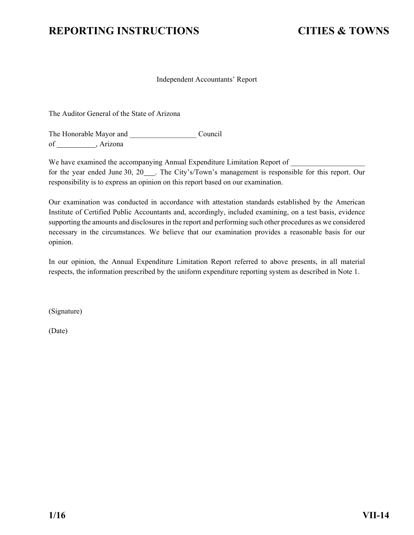#### Independent Accountants' Report

<span id="page-48-0"></span>The Auditor General of the State of Arizona

The Honorable Mayor and Council of \_\_\_\_\_\_\_\_\_\_\_\_, Arizona

We have examined the accompanying Annual Expenditure Limitation Report of \_\_\_\_\_\_\_ for the year ended June 30, 20\_\_\_. The City's/Town's management is responsible for this report. Our responsibility is to express an opinion on this report based on our examination.

Our examination was conducted in accordance with attestation standards established by the American Institute of Certified Public Accountants and, accordingly, included examining, on a test basis, evidence supporting the amounts and disclosures in the report and performing such other procedures as we considered necessary in the circumstances. We believe that our examination provides a reasonable basis for our opinion.

In our opinion, the Annual Expenditure Limitation Report referred to above presents, in all material respects, the information prescribed by the uniform expenditure reporting system as described in Note 1.

(Signature)

(Date)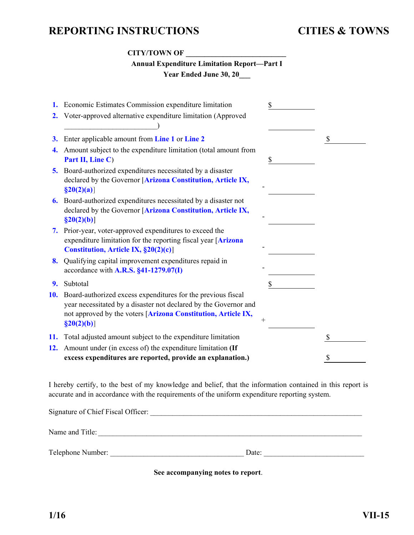### **CITY/TOWN OF \_\_\_\_\_\_\_\_\_\_\_\_\_\_\_\_\_\_\_\_\_\_\_\_\_\_\_**

| <b>Annual Expenditure Limitation Report-Part I</b> |
|----------------------------------------------------|
| <b>Year Ended June 30, 20</b>                      |

<span id="page-49-0"></span>

| 2.  | 1. Economic Estimates Commission expenditure limitation<br>Voter-approved alternative expenditure limitation (Approved                                                                                              | \$ |
|-----|---------------------------------------------------------------------------------------------------------------------------------------------------------------------------------------------------------------------|----|
| 3.  | Enter applicable amount from Line 1 or Line 2                                                                                                                                                                       | \$ |
| 4.  | Amount subject to the expenditure limitation (total amount from<br>Part II, Line C)                                                                                                                                 | \$ |
| 5.  | Board-authorized expenditures necessitated by a disaster<br>declared by the Governor [Arizona Constitution, Article IX,<br>$\S20(2)(a)$                                                                             |    |
| 6.  | Board-authorized expenditures necessitated by a disaster not<br>declared by the Governor [Arizona Constitution, Article IX,<br>$\S20(2)(b)$ ]                                                                       |    |
| 7.  | Prior-year, voter-approved expenditures to exceed the<br>expenditure limitation for the reporting fiscal year [Arizona<br>Constitution, Article IX, §20(2)(c)]                                                      |    |
|     | 8. Qualifying capital improvement expenditures repaid in<br>accordance with $A.R.S. \$ §41-1279.07(I)                                                                                                               |    |
| 9.  | Subtotal                                                                                                                                                                                                            | \$ |
| 10. | Board-authorized excess expenditures for the previous fiscal<br>year necessitated by a disaster not declared by the Governor and<br>not approved by the voters [Arizona Constitution, Article IX,<br>$\S20(2)(b)$ ] |    |
| 11. | Total adjusted amount subject to the expenditure limitation                                                                                                                                                         |    |
| 12. | Amount under (in excess of) the expenditure limitation (If<br>excess expenditures are reported, provide an explanation.)                                                                                            |    |

I hereby certify, to the best of my knowledge and belief, that the information contained in this report is accurate and in accordance with the requirements of the uniform expenditure reporting system.

| Signature of Chief Fiscal Officer: |       |  |
|------------------------------------|-------|--|
| Name and Title:                    |       |  |
| Telephone Number:                  | Date: |  |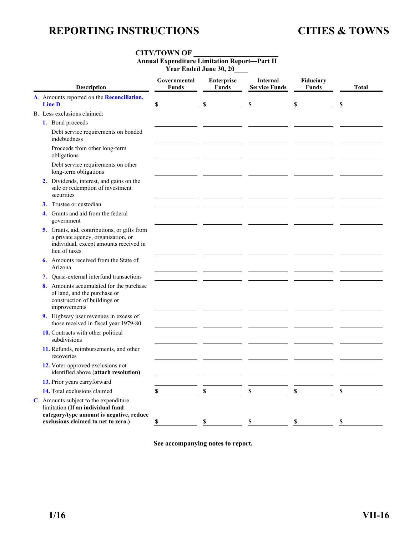### **CITY/TOWN OF \_\_\_\_\_\_\_\_\_\_\_\_\_\_\_\_\_\_\_\_\_\_\_\_\_**

**Annual Expenditure Limitation Report—Part II** 

**Year Ended June 30, 20\_\_\_\_** 

<span id="page-50-0"></span>

| Description                                                                                                                                                   | Governmental<br><b>Funds</b> | <b>Enterprise</b><br><b>Funds</b> | <b>Internal</b><br><b>Service Funds</b> | Fiduciary<br><b>Funds</b> | <b>Total</b> |
|---------------------------------------------------------------------------------------------------------------------------------------------------------------|------------------------------|-----------------------------------|-----------------------------------------|---------------------------|--------------|
| A. Amounts reported on the Reconciliation,<br><b>Line D</b>                                                                                                   | \$                           | \$                                | \$                                      | \$                        | \$           |
| B. Less exclusions claimed:                                                                                                                                   |                              |                                   |                                         |                           |              |
| 1. Bond proceeds                                                                                                                                              |                              |                                   |                                         |                           |              |
| Debt service requirements on bonded<br>indebtedness                                                                                                           |                              |                                   |                                         |                           |              |
| Proceeds from other long-term<br>obligations                                                                                                                  |                              |                                   |                                         |                           |              |
| Debt service requirements on other<br>long-term obligations                                                                                                   |                              |                                   |                                         |                           |              |
| 2. Dividends, interest, and gains on the<br>sale or redemption of investment<br>securities                                                                    |                              |                                   |                                         |                           |              |
| Trustee or custodian<br>3.                                                                                                                                    |                              |                                   |                                         |                           |              |
| Grants and aid from the federal<br>4.<br>government                                                                                                           |                              |                                   |                                         |                           |              |
| 5. Grants, aid, contributions, or gifts from<br>a private agency, organization, or<br>individual, except amounts received in<br>lieu of taxes                 |                              |                                   |                                         |                           |              |
| <b>6.</b> Amounts received from the State of<br>Arizona                                                                                                       |                              |                                   |                                         |                           |              |
| 7. Ouasi-external interfund transactions                                                                                                                      |                              |                                   |                                         |                           |              |
| 8. Amounts accumulated for the purchase<br>of land, and the purchase or<br>construction of buildings or<br>improvements                                       |                              |                                   |                                         |                           |              |
| 9. Highway user revenues in excess of<br>those received in fiscal year 1979-80                                                                                |                              |                                   |                                         |                           |              |
| 10. Contracts with other political<br>subdivisions                                                                                                            |                              |                                   |                                         |                           |              |
| 11. Refunds, reimbursements, and other<br>recoveries                                                                                                          |                              |                                   |                                         |                           |              |
| 12. Voter-approved exclusions not<br>identified above (attach resolution)                                                                                     |                              |                                   |                                         |                           |              |
| 13. Prior years carryforward                                                                                                                                  |                              |                                   |                                         |                           |              |
| 14. Total exclusions claimed                                                                                                                                  | \$                           | $\mathbf S$                       | \$                                      | \$                        | \$           |
| C. Amounts subject to the expenditure<br>limitation (If an individual fund<br>category/type amount is negative, reduce<br>exclusions claimed to net to zero.) | \$                           | \$                                | \$                                      | \$                        | \$           |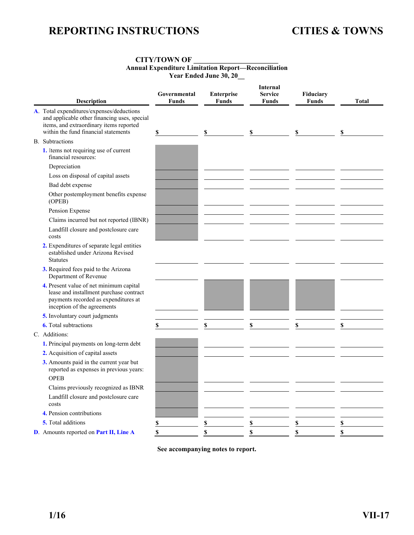#### **CITY/TOWN OF \_\_\_\_\_\_\_\_\_\_\_\_\_\_\_\_\_\_\_\_\_\_\_\_\_ Annual Expenditure Limitation Report—Reconciliation Year Ended June 30, 20\_\_**

<span id="page-51-0"></span>

| Description                                                                                                                                                                  | Governmental<br><b>Funds</b> | Enterprise<br><b>Funds</b> | <b>Internal</b><br><b>Service</b><br><b>Funds</b> | Fiduciary<br><b>Funds</b> | <b>Total</b>            |
|------------------------------------------------------------------------------------------------------------------------------------------------------------------------------|------------------------------|----------------------------|---------------------------------------------------|---------------------------|-------------------------|
| A. Total expenditures/expenses/deductions<br>and applicable other financing uses, special<br>items, and extraordinary items reported<br>within the fund financial statements | \$                           | \$                         | \$                                                | \$                        | \$                      |
| <b>B.</b> Subtractions                                                                                                                                                       |                              |                            |                                                   |                           |                         |
| 1. Items not requiring use of current<br>financial resources:                                                                                                                |                              |                            |                                                   |                           |                         |
| Depreciation                                                                                                                                                                 |                              |                            |                                                   |                           |                         |
| Loss on disposal of capital assets                                                                                                                                           |                              |                            |                                                   |                           |                         |
| Bad debt expense                                                                                                                                                             |                              |                            |                                                   |                           |                         |
| Other postemployment benefits expense<br>(OPEB)                                                                                                                              |                              |                            |                                                   |                           |                         |
| Pension Expense                                                                                                                                                              |                              |                            |                                                   |                           |                         |
| Claims incurred but not reported (IBNR)                                                                                                                                      |                              |                            |                                                   |                           |                         |
| Landfill closure and postclosure care<br>costs                                                                                                                               |                              |                            |                                                   |                           |                         |
| 2. Expenditures of separate legal entities<br>established under Arizona Revised<br><b>Statutes</b>                                                                           |                              |                            |                                                   |                           |                         |
| 3. Required fees paid to the Arizona<br>Department of Revenue                                                                                                                |                              |                            |                                                   |                           |                         |
| 4. Present value of net minimum capital<br>lease and installment purchase contract<br>payments recorded as expenditures at<br>inception of the agreements                    |                              |                            |                                                   |                           |                         |
| 5. Involuntary court judgments                                                                                                                                               |                              |                            |                                                   |                           |                         |
| <b>6.</b> Total subtractions                                                                                                                                                 | \$                           | \$                         | \$                                                | \$                        | \$                      |
| C. Additions:                                                                                                                                                                |                              |                            |                                                   |                           |                         |
| 1. Principal payments on long-term debt                                                                                                                                      |                              |                            |                                                   |                           |                         |
| 2. Acquisition of capital assets                                                                                                                                             |                              |                            |                                                   |                           |                         |
| 3. Amounts paid in the current year but<br>reported as expenses in previous years:<br><b>OPEB</b>                                                                            |                              |                            |                                                   |                           |                         |
| Claims previously recognized as IBNR                                                                                                                                         |                              |                            |                                                   |                           |                         |
| Landfill closure and postclosure care<br>costs                                                                                                                               |                              |                            |                                                   |                           |                         |
| 4. Pension contributions                                                                                                                                                     |                              |                            |                                                   |                           |                         |
| 5. Total additions                                                                                                                                                           |                              | \$                         | \$                                                | \$                        | $\overline{\mathbb{S}}$ |
| D. Amounts reported on Part II, Line A                                                                                                                                       |                              | S                          | \$                                                | $\mathbf S$               | \$                      |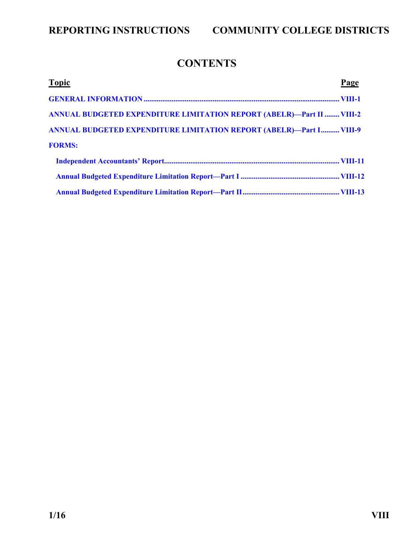## **CONTENTS**

<span id="page-52-0"></span>

| <b>Topic</b>                                                                 | Page |
|------------------------------------------------------------------------------|------|
|                                                                              |      |
| <b>ANNUAL BUDGETED EXPENDITURE LIMITATION REPORT (ABELR)—Part II  VIII-2</b> |      |
| <b>ANNUAL BUDGETED EXPENDITURE LIMITATION REPORT (ABELR)—Part I VIII-9</b>   |      |
| <b>FORMS:</b>                                                                |      |
|                                                                              |      |
|                                                                              |      |
|                                                                              |      |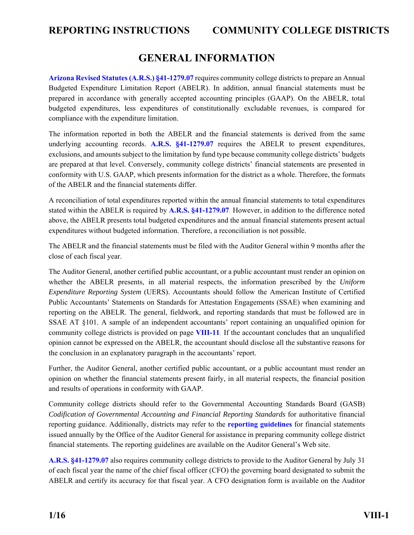### **GENERAL INFORMATION**

<span id="page-53-0"></span>**[Arizona Revised Statutes \(A.R.S.\) §41-1279.07](http://www.azleg.gov/FormatDocument.asp?inDoc=/ars/41/01279-07.htm&Title=41&DocType=ARS)** requires community college districts to prepare an Annual Budgeted Expenditure Limitation Report (ABELR). In addition, annual financial statements must be prepared in accordance with generally accepted accounting principles (GAAP). On the ABELR, total budgeted expenditures, less expenditures of constitutionally excludable revenues, is compared for compliance with the expenditure limitation.

The information reported in both the ABELR and the financial statements is derived from the same underlying accounting records. **[A.R.S. §41-1279.07](http://www.azleg.gov/FormatDocument.asp?inDoc=/ars/41/01279-07.htm&Title=41&DocType=ARS)** requires the ABELR to present expenditures, exclusions, and amounts subject to the limitation by fund type because community college districts' budgets are prepared at that level. Conversely, community college districts' financial statements are presented in conformity with U.S. GAAP, which presents information for the district as a whole. Therefore, the formats of the ABELR and the financial statements differ.

A reconciliation of total expenditures reported within the annual financial statements to total expenditures stated within the ABELR is required by **[A.R.S. §41-1279.07](http://www.azleg.gov/FormatDocument.asp?inDoc=/ars/41/01279-07.htm&Title=41&DocType=ARS)**. However, in addition to the difference noted above, the ABELR presents total budgeted expenditures and the annual financial statements present actual expenditures without budgeted information. Therefore, a reconciliation is not possible.

The ABELR and the financial statements must be filed with the Auditor General within 9 months after the close of each fiscal year.

The Auditor General, another certified public accountant, or a public accountant must render an opinion on whether the ABELR presents, in all material respects, the information prescribed by the *Uniform Expenditure Reporting System* (UERS). Accountants should follow the American Institute of Certified Public Accountants' Statements on Standards for Attestation Engagements (SSAE) when examining and reporting on the ABELR. The general, fieldwork, and reporting standards that must be followed are in SSAE AT §101. A sample of an independent accountants' report containing an unqualified opinion for community college districts is provided on page **[VIII-11](#page-63-0)**. If the accountant concludes that an unqualified opinion cannot be expressed on the ABELR, the accountant should disclose all the substantive reasons for the conclusion in an explanatory paragraph in the accountants' report.

Further, the Auditor General, another certified public accountant, or a public accountant must render an opinion on whether the financial statements present fairly, in all material respects, the financial position and results of operations in conformity with GAAP.

Community college districts should refer to the Governmental Accounting Standards Board (GASB) *Codification of Governmental Accounting and Financial Reporting Standards* for authoritative financial reporting guidance. Additionally, districts may refer to the **[reporting guidelines](http://www.azauditor.gov/reporting-guidelines)** for financial statements issued annually by the Office of the Auditor General for assistance in preparing community college district financial statements. The reporting guidelines are available on the Auditor General's Web site.

**[A.R.S. §41-1279.07](http://www.azleg.gov/FormatDocument.asp?inDoc=/ars/41/01279-07.htm&Title=41&DocType=ARS)** also requires community college districts to provide to the Auditor General by July 31 of each fiscal year the name of the chief fiscal officer (CFO) the governing board designated to submit the ABELR and certify its accuracy for that fiscal year. A CFO designation form is available on the Auditor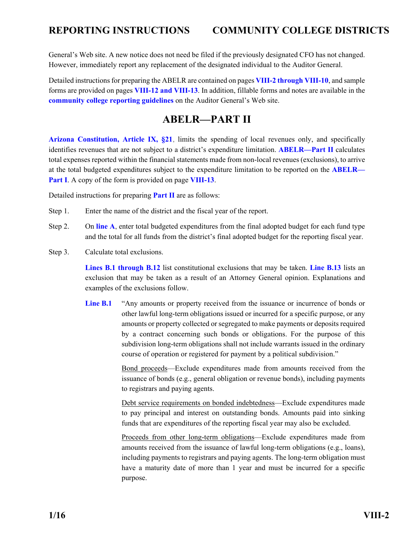<span id="page-54-0"></span>General's Web site. A new notice does not need be filed if the previously designated CFO has not changed. However, immediately report any replacement of the designated individual to the Auditor General.

Detailed instructions for preparing the ABELR are contained on pages **VIII-2 through VIII-10**, and sample forms are provided on pages **[VIII-12 and VIII-13](#page-64-0)**. In addition, fillable forms and notes are available in the **[community college reporting guidelines](http://www.azauditor.gov/reporting-guidelines)** on the Auditor General's Web site.

### **ABELR—PART II**

**[Arizona Constitution, Article IX, §21](http://www.azleg.gov/FormatDocument.asp?inDoc=/const/9/21.htm)**, limits the spending of local revenues only, and specifically identifies revenues that are not subject to a district's expenditure limitation. **[ABELR—Part II](#page-65-0)** calculates total expenses reported within the financial statements made from non-local revenues (exclusions), to arrive at the total budgeted expenditures subject to the expenditure limitation to be reported on the **[ABELR—](#page-64-0) [Part I](#page-64-0)**. A copy of the form is provided on page **[VIII-13](#page-65-0)**.

Detailed instructions for preparing **[Part II](#page-65-0)** are as follows:

- Step 1. Enter the name of the district and the fiscal year of the report.
- Step 2. On **[line A](#page-65-0)**, enter total budgeted expenditures from the final adopted budget for each fund type and the total for all funds from the district's final adopted budget for the reporting fiscal year.
- Step 3. Calculate total exclusions.

**[Lines B.1 through B.12](#page-65-0)** list constitutional exclusions that may be taken. **[Line B.13](#page-65-0)** lists an exclusion that may be taken as a result of an Attorney General opinion. Explanations and examples of the exclusions follow.

Line **B.1** "Any amounts or property received from the issuance or incurrence of bonds or other lawful long-term obligations issued or incurred for a specific purpose, or any amounts or property collected or segregated to make payments or deposits required by a contract concerning such bonds or obligations. For the purpose of this subdivision long-term obligations shall not include warrants issued in the ordinary course of operation or registered for payment by a political subdivision."

> Bond proceeds—Exclude expenditures made from amounts received from the issuance of bonds (e.g., general obligation or revenue bonds), including payments to registrars and paying agents.

> Debt service requirements on bonded indebtedness—Exclude expenditures made to pay principal and interest on outstanding bonds. Amounts paid into sinking funds that are expenditures of the reporting fiscal year may also be excluded.

> Proceeds from other long-term obligations—Exclude expenditures made from amounts received from the issuance of lawful long-term obligations (e.g., loans), including payments to registrars and paying agents. The long-term obligation must have a maturity date of more than 1 year and must be incurred for a specific purpose.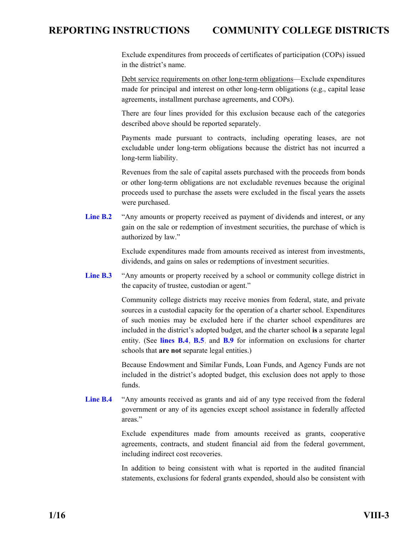<span id="page-55-0"></span>Exclude expenditures from proceeds of certificates of participation (COPs) issued in the district's name.

Debt service requirements on other long-term obligations—Exclude expenditures made for principal and interest on other long-term obligations (e.g., capital lease agreements, installment purchase agreements, and COPs).

There are four lines provided for this exclusion because each of the categories described above should be reported separately.

Payments made pursuant to contracts, including operating leases, are not excludable under long-term obligations because the district has not incurred a long-term liability.

Revenues from the sale of capital assets purchased with the proceeds from bonds or other long-term obligations are not excludable revenues because the original proceeds used to purchase the assets were excluded in the fiscal years the assets were purchased.

**[Line B.2](#page-65-0)** "Any amounts or property received as payment of dividends and interest, or any gain on the sale or redemption of investment securities, the purchase of which is authorized by law."

> Exclude expenditures made from amounts received as interest from investments, dividends, and gains on sales or redemptions of investment securities.

**[Line B.3](#page-65-0)** "Any amounts or property received by a school or community college district in the capacity of trustee, custodian or agent."

> Community college districts may receive monies from federal, state, and private sources in a custodial capacity for the operation of a charter school. Expenditures of such monies may be excluded here if the charter school expenditures are included in the district's adopted budget, and the charter school **is** a separate legal entity. (See **lines B.4**, **[B.5](#page-56-0)**, and **[B.9](#page-57-0)** for information on exclusions for charter schools that **are not** separate legal entities.)

> Because Endowment and Similar Funds, Loan Funds, and Agency Funds are not included in the district's adopted budget, this exclusion does not apply to those funds.

Line **B.4** "Any amounts received as grants and aid of any type received from the federal government or any of its agencies except school assistance in federally affected areas."

> Exclude expenditures made from amounts received as grants, cooperative agreements, contracts, and student financial aid from the federal government, including indirect cost recoveries.

> In addition to being consistent with what is reported in the audited financial statements, exclusions for federal grants expended, should also be consistent with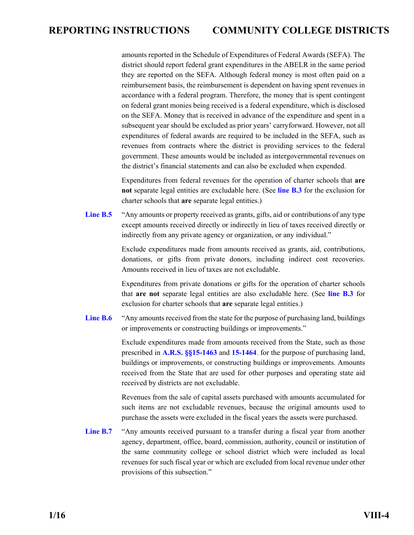<span id="page-56-0"></span>amounts reported in the Schedule of Expenditures of Federal Awards (SEFA). The district should report federal grant expenditures in the ABELR in the same period they are reported on the SEFA. Although federal money is most often paid on a reimbursement basis, the reimbursement is dependent on having spent revenues in accordance with a federal program. Therefore, the money that is spent contingent on federal grant monies being received is a federal expenditure, which is disclosed on the SEFA. Money that is received in advance of the expenditure and spent in a subsequent year should be excluded as prior years' carryforward. However, not all expenditures of federal awards are required to be included in the SEFA, such as revenues from contracts where the district is providing services to the federal government. These amounts would be included as intergovernmental revenues on the district's financial statements and can also be excluded when expended.

Expenditures from federal revenues for the operation of charter schools that **are not** separate legal entities are excludable here. (See **[line B.3](#page-55-0)** for the exclusion for charter schools that **are** separate legal entities.)

Line **B.5** "Any amounts or property received as grants, gifts, aid or contributions of any type except amounts received directly or indirectly in lieu of taxes received directly or indirectly from any private agency or organization, or any individual."

> Exclude expenditures made from amounts received as grants, aid, contributions, donations, or gifts from private donors, including indirect cost recoveries. Amounts received in lieu of taxes are not excludable.

> Expenditures from private donations or gifts for the operation of charter schools that **are not** separate legal entities are also excludable here. (See **[line B.3](#page-55-0)** for exclusion for charter schools that **are** separate legal entities.)

[Line B.6](#page-65-0) "Any amounts received from the state for the purpose of purchasing land, buildings or improvements or constructing buildings or improvements."

> Exclude expenditures made from amounts received from the State, such as those prescribed in **[A.R.S. §§15-1463](http://www.azleg.gov/FormatDocument.asp?inDoc=/ars/15/01463.htm&Title=15&DocType=ARS)** and **[15-1464](http://www.azleg.gov/FormatDocument.asp?inDoc=/ars/15/01464.htm&Title=15&DocType=ARS)**, for the purpose of purchasing land, buildings or improvements, or constructing buildings or improvements. Amounts received from the State that are used for other purposes and operating state aid received by districts are not excludable.

> Revenues from the sale of capital assets purchased with amounts accumulated for such items are not excludable revenues, because the original amounts used to purchase the assets were excluded in the fiscal years the assets were purchased.

[Line B.7](#page-65-0) "Any amounts received pursuant to a transfer during a fiscal year from another agency, department, office, board, commission, authority, council or institution of the same community college or school district which were included as local revenues for such fiscal year or which are excluded from local revenue under other provisions of this subsection."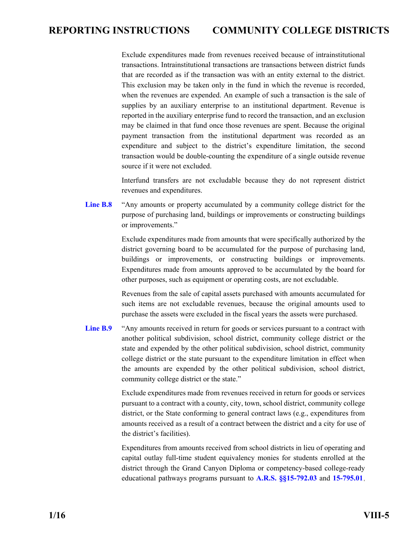<span id="page-57-0"></span>Exclude expenditures made from revenues received because of intrainstitutional transactions. Intrainstitutional transactions are transactions between district funds that are recorded as if the transaction was with an entity external to the district. This exclusion may be taken only in the fund in which the revenue is recorded, when the revenues are expended. An example of such a transaction is the sale of supplies by an auxiliary enterprise to an institutional department. Revenue is reported in the auxiliary enterprise fund to record the transaction, and an exclusion may be claimed in that fund once those revenues are spent. Because the original payment transaction from the institutional department was recorded as an expenditure and subject to the district's expenditure limitation, the second transaction would be double-counting the expenditure of a single outside revenue source if it were not excluded.

Interfund transfers are not excludable because they do not represent district revenues and expenditures.

**[Line B.8](#page-65-0)** "Any amounts or property accumulated by a community college district for the purpose of purchasing land, buildings or improvements or constructing buildings or improvements."

> Exclude expenditures made from amounts that were specifically authorized by the district governing board to be accumulated for the purpose of purchasing land, buildings or improvements, or constructing buildings or improvements. Expenditures made from amounts approved to be accumulated by the board for other purposes, such as equipment or operating costs, are not excludable.

> Revenues from the sale of capital assets purchased with amounts accumulated for such items are not excludable revenues, because the original amounts used to purchase the assets were excluded in the fiscal years the assets were purchased.

Line **B.9** "Any amounts received in return for goods or services pursuant to a contract with another political subdivision, school district, community college district or the state and expended by the other political subdivision, school district, community college district or the state pursuant to the expenditure limitation in effect when the amounts are expended by the other political subdivision, school district, community college district or the state."

> Exclude expenditures made from revenues received in return for goods or services pursuant to a contract with a county, city, town, school district, community college district, or the State conforming to general contract laws (e.g., expenditures from amounts received as a result of a contract between the district and a city for use of the district's facilities).

> Expenditures from amounts received from school districts in lieu of operating and capital outlay full-time student equivalency monies for students enrolled at the district through the Grand Canyon Diploma or competency-based college-ready educational pathways programs pursuant to **[A.R.S. §§15-792.03](http://www.azleg.gov/FormatDocument.asp?inDoc=/ars/15/00792-03.htm&Title=15&DocType=ARS)** and **[15-795.01](http://www.azleg.gov/FormatDocument.asp?inDoc=/ars/15/00795-01.htm&Title=15&DocType=ARS)**,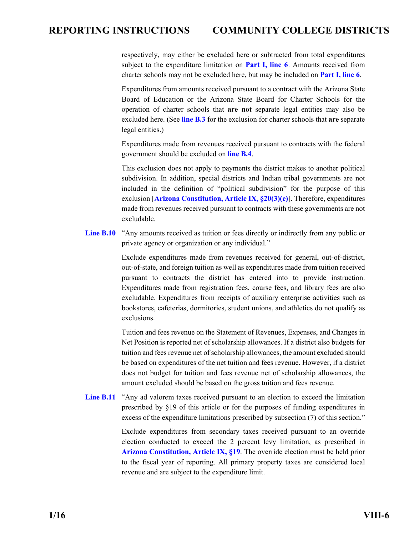<span id="page-58-0"></span>respectively, may either be excluded here or subtracted from total expenditures subject to the expenditure limitation on **[Part I, line 6](#page-61-0)**. Amounts received from charter schools may not be excluded here, but may be included on **[Part I, line 6](#page-61-0)**.

Expenditures from amounts received pursuant to a contract with the Arizona State Board of Education or the Arizona State Board for Charter Schools for the operation of charter schools that **are not** separate legal entities may also be excluded here. (See **[line B.3](#page-55-0)** for the exclusion for charter schools that **are** separate legal entities.)

Expenditures made from revenues received pursuant to contracts with the federal government should be excluded on **[line B.4](#page-56-0)**.

This exclusion does not apply to payments the district makes to another political subdivision. In addition, special districts and Indian tribal governments are not included in the definition of "political subdivision" for the purpose of this exclusion [**[Arizona Constitution, Article IX, §20\(3\)\(e\)](http://www.azleg.gov/FormatDocument.asp?inDoc=/const/9/20.htm)**]. Therefore, expenditures made from revenues received pursuant to contracts with these governments are not excludable.

Line **B.10** "Any amounts received as tuition or fees directly or indirectly from any public or private agency or organization or any individual."

> Exclude expenditures made from revenues received for general, out-of-district, out-of-state, and foreign tuition as well as expenditures made from tuition received pursuant to contracts the district has entered into to provide instruction. Expenditures made from registration fees, course fees, and library fees are also excludable. Expenditures from receipts of auxiliary enterprise activities such as bookstores, cafeterias, dormitories, student unions, and athletics do not qualify as exclusions.

> Tuition and fees revenue on the Statement of Revenues, Expenses, and Changes in Net Position is reported net of scholarship allowances. If a district also budgets for tuition and fees revenue net of scholarship allowances, the amount excluded should be based on expenditures of the net tuition and fees revenue. However, if a district does not budget for tuition and fees revenue net of scholarship allowances, the amount excluded should be based on the gross tuition and fees revenue.

[Line B.11](#page-65-0) "Any ad valorem taxes received pursuant to an election to exceed the limitation prescribed by §19 of this article or for the purposes of funding expenditures in excess of the expenditure limitations prescribed by subsection (7) of this section."

> Exclude expenditures from secondary taxes received pursuant to an override election conducted to exceed the 2 percent levy limitation, as prescribed in **[Arizona Constitution, Article IX, §19](http://www.azleg.gov/FormatDocument.asp?inDoc=/const/9/19.htm)**. The override election must be held prior to the fiscal year of reporting. All primary property taxes are considered local revenue and are subject to the expenditure limit.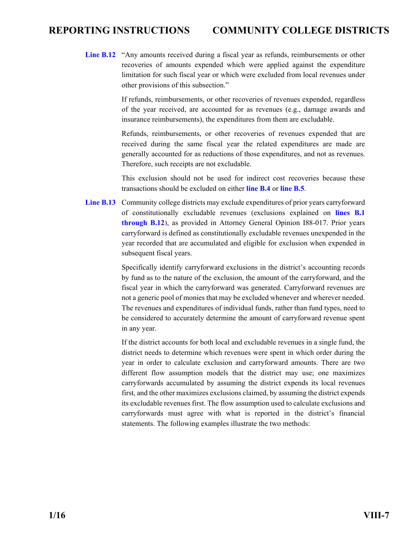<span id="page-59-0"></span>[Line B.12](#page-65-0) "Any amounts received during a fiscal year as refunds, reimbursements or other recoveries of amounts expended which were applied against the expenditure limitation for such fiscal year or which were excluded from local revenues under other provisions of this subsection."

> If refunds, reimbursements, or other recoveries of revenues expended, regardless of the year received, are accounted for as revenues (e.g., damage awards and insurance reimbursements), the expenditures from them are excludable.

> Refunds, reimbursements, or other recoveries of revenues expended that are received during the same fiscal year the related expenditures are made are generally accounted for as reductions of those expenditures, and not as revenues. Therefore, such receipts are not excludable.

> This exclusion should not be used for indirect cost recoveries because these transactions should be excluded on either **[line B.4](#page-55-0)** or **[line B.5](#page-56-0)**.

**[Line B.13](#page-65-0)** Community college districts may exclude expenditures of prior years carryforward of constitutionally excludable revenues (exclusions explained on **[lines B.1](#page-65-0)  [through B.12](#page-65-0)**), as provided in Attorney General Opinion I88-017. Prior years carryforward is defined as constitutionally excludable revenues unexpended in the year recorded that are accumulated and eligible for exclusion when expended in subsequent fiscal years.

> Specifically identify carryforward exclusions in the district's accounting records by fund as to the nature of the exclusion, the amount of the carryforward, and the fiscal year in which the carryforward was generated. Carryforward revenues are not a generic pool of monies that may be excluded whenever and wherever needed. The revenues and expenditures of individual funds, rather than fund types, need to be considered to accurately determine the amount of carryforward revenue spent in any year.

> If the district accounts for both local and excludable revenues in a single fund, the district needs to determine which revenues were spent in which order during the year in order to calculate exclusion and carryforward amounts. There are two different flow assumption models that the district may use; one maximizes carryforwards accumulated by assuming the district expends its local revenues first, and the other maximizes exclusions claimed, by assuming the district expends its excludable revenues first. The flow assumption used to calculate exclusions and carryforwards must agree with what is reported in the district's financial statements. The following examples illustrate the two methods: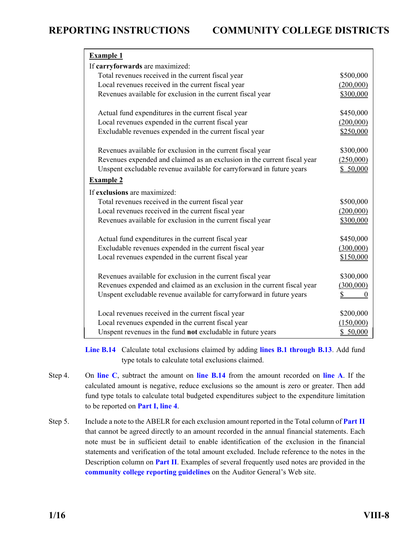<span id="page-60-0"></span>

| <b>Example 1</b>                                                         |                          |
|--------------------------------------------------------------------------|--------------------------|
| If carryforwards are maximized:                                          |                          |
| Total revenues received in the current fiscal year                       | \$500,000                |
| Local revenues received in the current fiscal year                       | (200,000)                |
| Revenues available for exclusion in the current fiscal year              | \$300,000                |
| Actual fund expenditures in the current fiscal year                      | \$450,000                |
| Local revenues expended in the current fiscal year                       | (200,000)                |
| Excludable revenues expended in the current fiscal year                  | \$250,000                |
| Revenues available for exclusion in the current fiscal year              | \$300,000                |
| Revenues expended and claimed as an exclusion in the current fiscal year | (250,000)                |
| Unspent excludable revenue available for carryforward in future years    | \$50,000                 |
| <b>Example 2</b>                                                         |                          |
| If exclusions are maximized:                                             |                          |
| Total revenues received in the current fiscal year                       | \$500,000                |
| Local revenues received in the current fiscal year                       | (200,000)                |
| Revenues available for exclusion in the current fiscal year              | \$300,000                |
| Actual fund expenditures in the current fiscal year                      | \$450,000                |
| Excludable revenues expended in the current fiscal year                  | (300,000)                |
| Local revenues expended in the current fiscal year                       | \$150,000                |
| Revenues available for exclusion in the current fiscal year              | \$300,000                |
| Revenues expended and claimed as an exclusion in the current fiscal year | (300,000)                |
| Unspent excludable revenue available for carryforward in future years    | $\mathbb{S}$<br>$\theta$ |
| Local revenues received in the current fiscal year                       | \$200,000                |
| Local revenues expended in the current fiscal year                       | (150,000)                |
| Unspent revenues in the fund not excludable in future years              | \$50,000                 |

**[Line B.14](#page-65-0)** Calculate total exclusions claimed by adding **lines B.1 [through B.13](#page-65-0)**. Add fund type totals to calculate total exclusions claimed.

- Step 4. On **[line C](#page-65-0)**, subtract the amount on **[line B.14](#page-65-0)** from the amount recorded on **[line A](#page-65-0)**. If the calculated amount is negative, reduce exclusions so the amount is zero or greater. Then add fund type totals to calculate total budgeted expenditures subject to the expenditure limitation to be reported on **[Part I, line 4](#page-64-0)**.
- Step 5. Include a note to the ABELR for each exclusion amount reported in the Total column of **[Part II](#page-65-0)** that cannot be agreed directly to an amount recorded in the annual financial statements. Each note must be in sufficient detail to enable identification of the exclusion in the financial statements and verification of the total amount excluded. Include reference to the notes in the Description column on **[Part II](#page-65-0)**. Examples of several frequently used notes are provided in the **[community college reporting guidelines](http://www.azauditor.gov/reporting-guidelines)** on the Auditor General's Web site.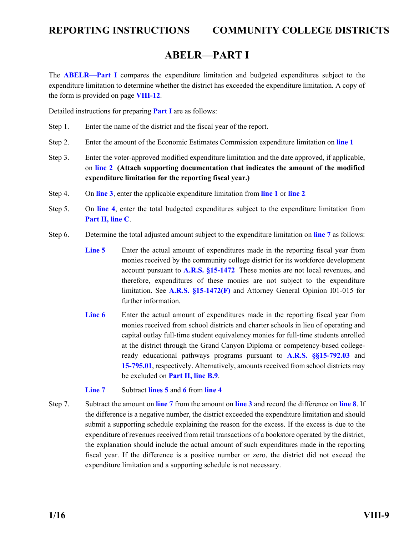### **ABELR—PART I**

<span id="page-61-0"></span>The **[ABELR—Part I](#page-64-0)** compares the expenditure limitation and budgeted expenditures subject to the expenditure limitation to determine whether the district has exceeded the expenditure limitation. A copy of the form is provided on page **[VIII-12](#page-64-0)**.

Detailed instructions for preparing **[Part I](#page-64-0)** are as follows:

- Step 1. Enter the name of the district and the fiscal year of the report.
- Step 2. Enter the amount of the Economic Estimates Commission expenditure limitation on **[line 1](#page-64-0)**.
- Step 3. Enter the voter-approved modified expenditure limitation and the date approved, if applicable, on **[line 2](#page-64-0)**. **(Attach supporting documentation that indicates the amount of the modified expenditure limitation for the reporting fiscal year.)**
- Step 4. On **[line 3](#page-64-0)**, enter the applicable expenditure limitation from **[line 1](#page-64-0)** or **[line 2](#page-64-0)**.
- Step 5. On **[line 4](#page-64-0)**, enter the total budgeted expenditures subject to the expenditure limitation from **[Part II, line C](#page-65-0)**.
- Step 6. Determine the total adjusted amount subject to the expenditure limitation on **[line 7](#page-64-0)** as follows:
	- **[Line 5](#page-64-0)** Enter the actual amount of expenditures made in the reporting fiscal year from monies received by the community college district for its workforce development account pursuant to **[A.R.S. §15-1472](http://www.azleg.gov/FormatDocument.asp?inDoc=/ars/15/01472.htm&Title=15&DocType=ARS)**. These monies are not local revenues, and therefore, expenditures of these monies are not subject to the expenditure limitation. See **[A.R.S. §15-1472\(F\)](http://www.azleg.gov/FormatDocument.asp?inDoc=/ars/15/01472.htm&Title=15&DocType=ARS)** and Attorney General Opinion I01-015 for further information.
	- [Line 6](#page-64-0) Enter the actual amount of expenditures made in the reporting fiscal year from monies received from school districts and charter schools in lieu of operating and capital outlay full-time student equivalency monies for full-time students enrolled at the district through the Grand Canyon Diploma or competency-based collegeready educational pathways programs pursuant to **[A.R.S. §§15-792.03](http://www.azleg.gov/FormatDocument.asp?inDoc=/ars/15/00792-03.htm&Title=15&DocType=ARS)** and **[15-795.01](http://www.azleg.gov/FormatDocument.asp?inDoc=/ars/15/00795-01.htm&Title=15&DocType=ARS)**, respectively. Alternatively, amounts received from school districts may be excluded on **[Part II, line B.9](#page-57-0)**.
	- **[Line 7](#page-64-0)** Subtract **[lines 5](#page-64-0)** and **[6](#page-64-0)** from **[line 4](#page-64-0)**.
- Step 7. Subtract the amount on **[line 7](#page-64-0)** from the amount on **[line 3](#page-64-0)** and record the difference on **[line 8](#page-64-0)**. If the difference is a negative number, the district exceeded the expenditure limitation and should submit a supporting schedule explaining the reason for the excess. If the excess is due to the expenditure of revenues received from retail transactions of a bookstore operated by the district, the explanation should include the actual amount of such expenditures made in the reporting fiscal year. If the difference is a positive number or zero, the district did not exceed the expenditure limitation and a supporting schedule is not necessary.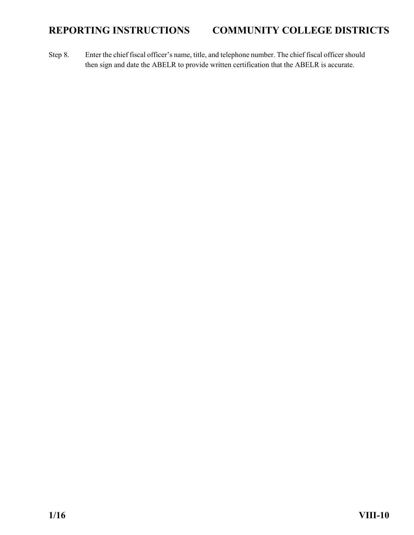Step 8. Enter the chief fiscal officer's name, title, and telephone number. The chief fiscal officer should then sign and date the ABELR to provide written certification that the ABELR is accurate.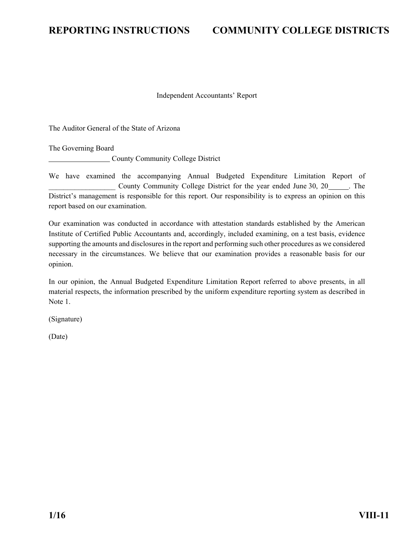<span id="page-63-0"></span>

#### Independent Accountants' Report

The Auditor General of the State of Arizona

The Governing Board

County Community College District

We have examined the accompanying Annual Budgeted Expenditure Limitation Report of County Community College District for the year ended June 30, 20 . The District's management is responsible for this report. Our responsibility is to express an opinion on this report based on our examination.

Our examination was conducted in accordance with attestation standards established by the American Institute of Certified Public Accountants and, accordingly, included examining, on a test basis, evidence supporting the amounts and disclosures in the report and performing such other procedures as we considered necessary in the circumstances. We believe that our examination provides a reasonable basis for our opinion.

In our opinion, the Annual Budgeted Expenditure Limitation Report referred to above presents, in all material respects, the information prescribed by the uniform expenditure reporting system as described in Note 1.

(Signature)

(Date)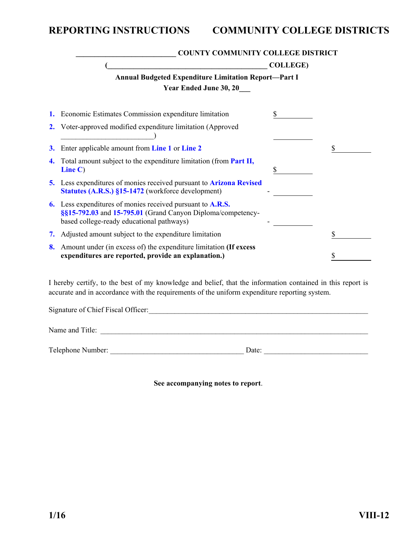<span id="page-64-0"></span>

|    | <b>COUNTY COMMUNITY COLLEGE DISTRICT</b>                                                                                                                                   |                  |   |  |  |  |
|----|----------------------------------------------------------------------------------------------------------------------------------------------------------------------------|------------------|---|--|--|--|
|    |                                                                                                                                                                            | <b>COLLEGE</b> ) |   |  |  |  |
|    | <b>Annual Budgeted Expenditure Limitation Report-Part I</b>                                                                                                                |                  |   |  |  |  |
|    | <b>Year Ended June 30, 20</b>                                                                                                                                              |                  |   |  |  |  |
|    | Economic Estimates Commission expenditure limitation                                                                                                                       |                  |   |  |  |  |
|    | Voter-approved modified expenditure limitation (Approved                                                                                                                   |                  |   |  |  |  |
| 3. | Enter applicable amount from Line 1 or Line 2                                                                                                                              |                  | S |  |  |  |
| 4. | Total amount subject to the expenditure limitation (from Part II,<br>Line $C$ )                                                                                            | \$               |   |  |  |  |
|    | 5. Less expenditures of monies received pursuant to <b>Arizona Revised</b><br><b>Statutes (A.R.S.) §15-1472 (workforce development)</b>                                    |                  |   |  |  |  |
| 6. | Less expenditures of monies received pursuant to <b>A.R.S.</b><br>§§15-792.03 and 15-795.01 (Grand Canyon Diploma/competency-<br>based college-ready educational pathways) |                  |   |  |  |  |
| 7. | Adjusted amount subject to the expenditure limitation                                                                                                                      |                  |   |  |  |  |
| 8. | Amount under (in excess of) the expenditure limitation (If excess<br>expenditures are reported, provide an explanation.)                                                   |                  |   |  |  |  |

I hereby certify, to the best of my knowledge and belief, that the information contained in this report is accurate and in accordance with the requirements of the uniform expenditure reporting system.

| Signature of Chief Fiscal Officer: |       |
|------------------------------------|-------|
| Name and Title:                    |       |
| Telephone Number:                  | Date: |